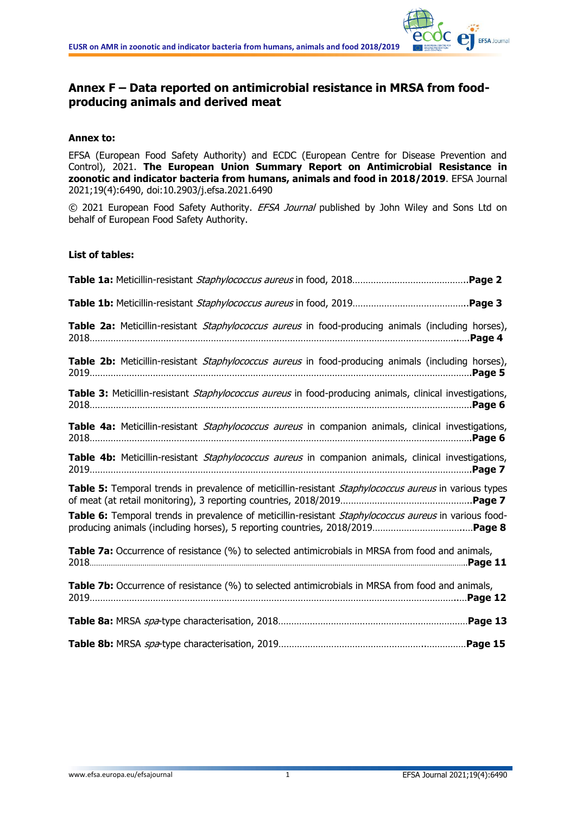

# **Annex F – Data reported on antimicrobial resistance in MRSA from foodproducing animals and derived meat**

### **Annex to:**

EFSA (European Food Safety Authority) and ECDC (European Centre for Disease Prevention and Control), 2021. **The European Union Summary Report on Antimicrobial Resistance in zoonotic and indicator bacteria from humans, animals and food in 2018/2019**. EFSA Journal 2021;19(4):6490, doi:10.2903/j.efsa.2021.6490

© 2021 European Food Safety Authority. EFSA Journal published by John Wiley and Sons Ltd on behalf of European Food Safety Authority.

#### **List of tables:**

| Table 2a: Meticillin-resistant Staphylococcus aureus in food-producing animals (including horses),        |
|-----------------------------------------------------------------------------------------------------------|
| Table 2b: Meticillin-resistant <i>Staphylococcus aureus</i> in food-producing animals (including horses), |
| Table 3: Meticillin-resistant Staphylococcus aureus in food-producing animals, clinical investigations,   |
| Table 4a: Meticillin-resistant Staphylococcus aureus in companion animals, clinical investigations,       |
| Table 4b: Meticillin-resistant Staphylococcus aureus in companion animals, clinical investigations,       |
| Table 5: Temporal trends in prevalence of meticillin-resistant Staphylococcus aureus in various types     |
| Table 6: Temporal trends in prevalence of meticillin-resistant Staphylococcus aureus in various food-     |
| Table 7a: Occurrence of resistance (%) to selected antimicrobials in MRSA from food and animals,          |
| Table 7b: Occurrence of resistance (%) to selected antimicrobials in MRSA from food and animals,          |
|                                                                                                           |
|                                                                                                           |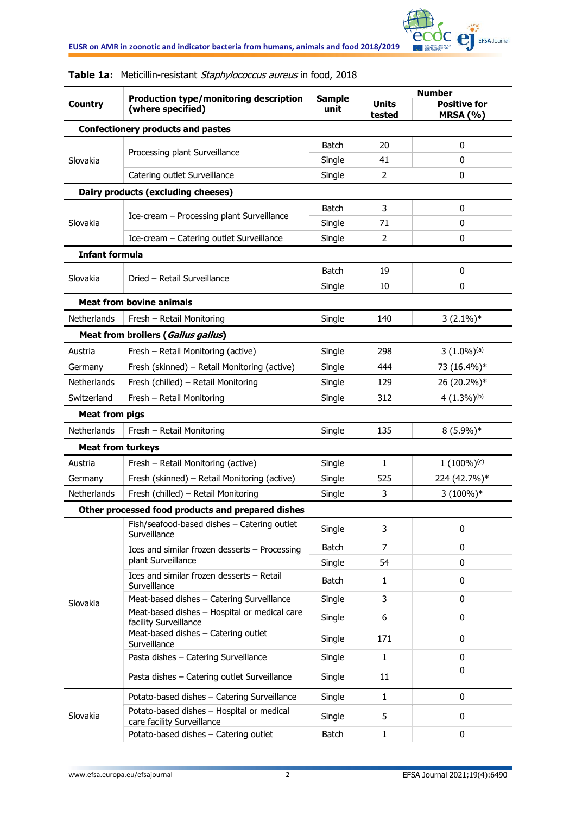

|                                                                                                                                                                                  |                                                                         |                       | <b>Number</b>          |                                        |  |
|----------------------------------------------------------------------------------------------------------------------------------------------------------------------------------|-------------------------------------------------------------------------|-----------------------|------------------------|----------------------------------------|--|
| <b>Country</b>                                                                                                                                                                   | Production type/monitoring description<br>(where specified)             | <b>Sample</b><br>unit | <b>Units</b><br>tested | <b>Positive for</b><br><b>MRSA (%)</b> |  |
|                                                                                                                                                                                  | <b>Confectionery products and pastes</b>                                |                       |                        |                                        |  |
|                                                                                                                                                                                  |                                                                         | <b>Batch</b>          | 20                     | $\bf{0}$                               |  |
| Slovakia                                                                                                                                                                         | Processing plant Surveillance                                           | Single                | 41                     | 0                                      |  |
| Slovakia<br>Slovakia<br>Netherlands<br>Austria<br>Germany<br>Netherlands<br>Switzerland<br><b>Meat from pigs</b><br>Netherlands<br>Austria<br>Germany<br>Netherlands<br>Slovakia | Catering outlet Surveillance                                            | Single                | 2                      | 0                                      |  |
|                                                                                                                                                                                  | Dairy products (excluding cheeses)                                      |                       |                        |                                        |  |
|                                                                                                                                                                                  |                                                                         | <b>Batch</b>          | 3                      | $\mathbf 0$                            |  |
|                                                                                                                                                                                  | Ice-cream - Processing plant Surveillance                               | Single                | 71                     | $\mathbf 0$                            |  |
|                                                                                                                                                                                  | Ice-cream - Catering outlet Surveillance                                | Single                | 2                      | $\mathbf 0$                            |  |
| <b>Infant formula</b>                                                                                                                                                            |                                                                         |                       |                        |                                        |  |
|                                                                                                                                                                                  |                                                                         | <b>Batch</b>          | 19                     | 0                                      |  |
|                                                                                                                                                                                  | Dried - Retail Surveillance                                             | Single                | 10                     | $\mathbf 0$                            |  |
|                                                                                                                                                                                  | <b>Meat from bovine animals</b>                                         |                       |                        |                                        |  |
|                                                                                                                                                                                  | Fresh - Retail Monitoring                                               | Single                | 140                    | $3(2.1\%)*$                            |  |
|                                                                                                                                                                                  | Meat from broilers (Gallus gallus)                                      |                       |                        |                                        |  |
|                                                                                                                                                                                  | Fresh - Retail Monitoring (active)                                      | Single                | 298                    | $3(1.0\%)$ <sup>(a)</sup>              |  |
|                                                                                                                                                                                  | Fresh (skinned) - Retail Monitoring (active)                            | Single                | 444                    | 73 (16.4%)*                            |  |
|                                                                                                                                                                                  | Fresh (chilled) - Retail Monitoring                                     | Single                | 129                    | 26 (20.2%)*                            |  |
|                                                                                                                                                                                  | Fresh - Retail Monitoring                                               | Single                | 312                    | 4 $(1.3\%)$ <sup>(b)</sup>             |  |
|                                                                                                                                                                                  |                                                                         |                       |                        |                                        |  |
|                                                                                                                                                                                  | Fresh - Retail Monitoring                                               | Single                | 135                    | $8(5.9\%)*$                            |  |
| <b>Meat from turkeys</b>                                                                                                                                                         |                                                                         |                       |                        |                                        |  |
|                                                                                                                                                                                  | Fresh - Retail Monitoring (active)                                      | Single                | 1                      | $1(100\%)$ <sup>(c)</sup>              |  |
|                                                                                                                                                                                  | Fresh (skinned) - Retail Monitoring (active)                            | Single                | 525                    | 224 (42.7%)*                           |  |
|                                                                                                                                                                                  | Fresh (chilled) - Retail Monitoring                                     | Single                | 3                      | $3(100\%)*$                            |  |
|                                                                                                                                                                                  | Other processed food products and prepared dishes                       |                       |                        |                                        |  |
|                                                                                                                                                                                  | Fish/seafood-based dishes - Catering outlet<br>Surveillance             | Single                | 3                      | 0                                      |  |
|                                                                                                                                                                                  | Ices and similar frozen desserts - Processing                           | <b>Batch</b>          | 7                      | 0                                      |  |
|                                                                                                                                                                                  | plant Surveillance                                                      | Single                | 54                     | 0                                      |  |
|                                                                                                                                                                                  | Ices and similar frozen desserts - Retail<br>Surveillance               | <b>Batch</b>          | $\mathbf{1}$           | 0                                      |  |
|                                                                                                                                                                                  | Meat-based dishes - Catering Surveillance                               | Single                | 3                      | 0                                      |  |
|                                                                                                                                                                                  | Meat-based dishes - Hospital or medical care<br>facility Surveillance   | Single                | 6                      | 0                                      |  |
|                                                                                                                                                                                  | Meat-based dishes - Catering outlet<br>Surveillance                     | Single                | 171                    | 0                                      |  |
|                                                                                                                                                                                  | Pasta dishes - Catering Surveillance                                    | Single                | $\mathbf{1}$           | 0                                      |  |
|                                                                                                                                                                                  | Pasta dishes - Catering outlet Surveillance                             | Single                | 11                     | $\mathbf{0}$                           |  |
|                                                                                                                                                                                  | Potato-based dishes - Catering Surveillance                             | Single                | $\mathbf{1}$           | 0                                      |  |
| Slovakia                                                                                                                                                                         | Potato-based dishes - Hospital or medical<br>care facility Surveillance | Single                | 5                      | 0                                      |  |
|                                                                                                                                                                                  | Potato-based dishes - Catering outlet                                   | <b>Batch</b>          | $\mathbf{1}$           | 0                                      |  |

## **Table 1a:** Meticillin-resistant Staphylococcus aureus in food, 2018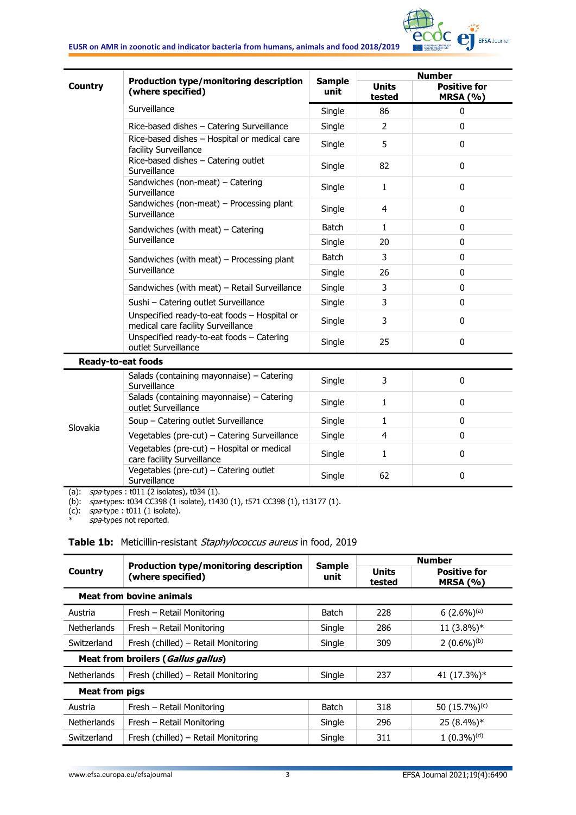

|                | Production type/monitoring description                                                                                     | <b>Sample</b> | <b>Number</b>          |                                        |  |
|----------------|----------------------------------------------------------------------------------------------------------------------------|---------------|------------------------|----------------------------------------|--|
| <b>Country</b> | (where specified)                                                                                                          | unit          | <b>Units</b><br>tested | <b>Positive for</b><br><b>MRSA (%)</b> |  |
|                | Surveillance                                                                                                               | Single        | 86                     | $\mathbf 0$                            |  |
|                | Rice-based dishes - Catering Surveillance                                                                                  | Single        | $\overline{2}$         | $\mathbf{0}$                           |  |
|                | Rice-based dishes - Hospital or medical care<br>facility Surveillance                                                      | Single        | 5                      | $\mathbf{0}$                           |  |
|                | Rice-based dishes - Catering outlet<br>Surveillance                                                                        | Single        | 82                     | $\mathbf 0$                            |  |
|                | Sandwiches (non-meat) - Catering<br>Surveillance                                                                           | Single        | $\mathbf{1}$           | $\mathbf{0}$                           |  |
|                | Sandwiches (non-meat) - Processing plant<br>Surveillance                                                                   | Single        | $\overline{4}$         | $\mathbf 0$                            |  |
|                | Sandwiches (with meat) - Catering                                                                                          | <b>Batch</b>  | 1                      | $\mathbf 0$                            |  |
|                | Surveillance                                                                                                               | Single        | 20                     | $\mathbf 0$                            |  |
|                | Sandwiches (with meat) - Processing plant<br>Surveillance                                                                  | <b>Batch</b>  | 3                      | 0                                      |  |
|                |                                                                                                                            | Single        | 26                     | $\mathbf 0$                            |  |
|                | Sandwiches (with meat) - Retail Surveillance                                                                               | Single        | 3                      | $\mathbf 0$                            |  |
|                | Sushi - Catering outlet Surveillance                                                                                       | Single        | 3                      | $\mathbf 0$                            |  |
|                | Unspecified ready-to-eat foods - Hospital or<br>medical care facility Surveillance                                         | Single        | 3                      | $\mathbf 0$                            |  |
|                | Unspecified ready-to-eat foods - Catering<br>outlet Surveillance                                                           | Single        | 25                     | $\mathbf{0}$                           |  |
|                | <b>Ready-to-eat foods</b>                                                                                                  |               |                        |                                        |  |
|                | Salads (containing mayonnaise) - Catering<br>Surveillance                                                                  | Single        | 3                      | 0                                      |  |
|                | Salads (containing mayonnaise) - Catering<br>outlet Surveillance                                                           | Single        | $\mathbf{1}$           | $\mathbf{0}$                           |  |
|                | Soup - Catering outlet Surveillance                                                                                        | Single        | $\mathbf{1}$           | $\mathbf 0$                            |  |
| Slovakia       | Vegetables (pre-cut) - Catering Surveillance                                                                               | Single        | 4                      | $\mathbf 0$                            |  |
|                | Vegetables (pre-cut) - Hospital or medical<br>care facility Surveillance                                                   | Single        | 1                      | 0                                      |  |
|                | Vegetables (pre-cut) - Catering outlet<br>Surveillance<br>$(n)$ can hines that $(2 \text{icolates \uparrow (24 \text{ m})$ | Single        | 62                     | 0                                      |  |

(a): spa-types: t011 (2 isolates), t034 (1).

(b): spa-types: t034 CC398 (1 isolate), t1430 (1), t571 CC398 (1), t13177 (1).

(c): *spa*-type : t011 (1 isolate).

\* *spa*-types not reported.

#### Table 1b: Meticillin-resistant Staphylococcus aureus in food, 2019

|                                 | Production type/monitoring description | <b>Sample</b> | <b>Number</b>          |                                        |  |  |
|---------------------------------|----------------------------------------|---------------|------------------------|----------------------------------------|--|--|
| Country                         | (where specified)                      | unit          | <b>Units</b><br>tested | <b>Positive for</b><br><b>MRSA (%)</b> |  |  |
| <b>Meat from bovine animals</b> |                                        |               |                        |                                        |  |  |
| Austria                         | Fresh - Retail Monitoring              | <b>Batch</b>  | 228                    | $6(2.6\%)$ <sup>(a)</sup>              |  |  |
| <b>Netherlands</b>              | Fresh - Retail Monitoring              | Single        | 286                    | $11(3.8\%)*$                           |  |  |
| Switzerland                     | Fresh (chilled) - Retail Monitoring    | Single        | 309                    | $2(0.6\%)^{(b)}$                       |  |  |
|                                 | Meat from broilers (Gallus gallus)     |               |                        |                                        |  |  |
| <b>Netherlands</b>              | Fresh (chilled) - Retail Monitoring    | Single        | 237                    | 41 (17.3%)*                            |  |  |
| <b>Meat from pigs</b>           |                                        |               |                        |                                        |  |  |
| Austria                         | Fresh - Retail Monitoring              | <b>Batch</b>  | 318                    | 50 (15.7%) <sup>(c)</sup>              |  |  |
| <b>Netherlands</b>              | Fresh - Retail Monitoring              | Single        | 296                    | 25 (8.4%)*                             |  |  |
| Switzerland                     | Fresh (chilled) - Retail Monitoring    | Single        | 311                    | $1(0.3\%)$ <sup>(d)</sup>              |  |  |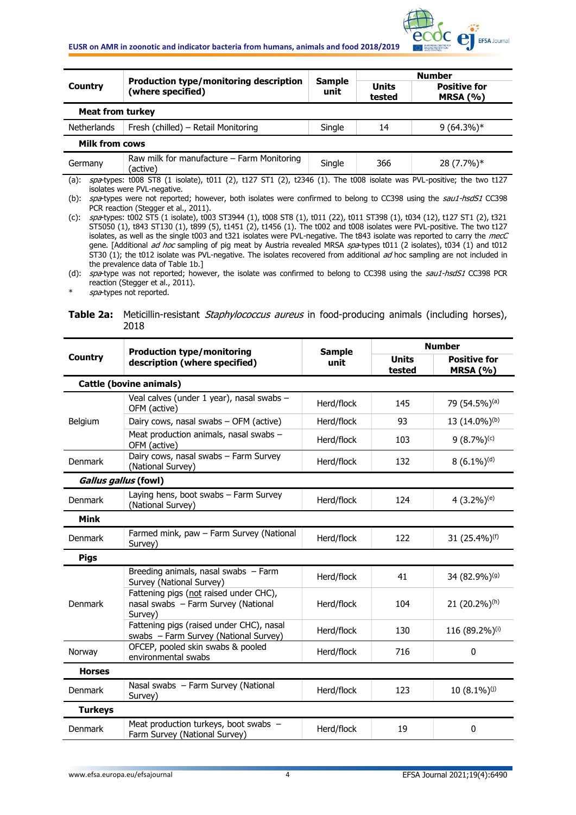

|                                                                                                                                                               | <b>Production type/monitoring description</b><br>(where specified) |                       | <b>Number</b>          |                                   |  |  |
|---------------------------------------------------------------------------------------------------------------------------------------------------------------|--------------------------------------------------------------------|-----------------------|------------------------|-----------------------------------|--|--|
| <b>Country</b>                                                                                                                                                |                                                                    | <b>Sample</b><br>unit | <b>Units</b><br>tested | <b>Positive for</b><br>MRSA $(%)$ |  |  |
| <b>Meat from turkey</b>                                                                                                                                       |                                                                    |                       |                        |                                   |  |  |
| <b>Netherlands</b>                                                                                                                                            | Fresh (chilled) – Retail Monitoring                                | Single                | 14                     | $9(64.3\%)*$                      |  |  |
| <b>Milk from cows</b>                                                                                                                                         |                                                                    |                       |                        |                                   |  |  |
| Germany                                                                                                                                                       | Raw milk for manufacture $-$ Farm Monitoring<br>(active)           | Single                | 366                    | 28 (7.7%)*                        |  |  |
| $spa$ -types: t008 ST8 (1 isolate), t011 (2), t127 ST1 (2), t2346 (1). The t008 isolate was PVL-positive; the two t127<br>(a):<br>isolates were PVL-negative. |                                                                    |                       |                        |                                   |  |  |

(b): spa-types were not reported; however, both isolates were confirmed to belong to CC398 using the sau1-hsdS1 CC398 PCR reaction (Stegger et al., 2011).

(c): spa-types: t002 ST5 (1 isolate), t003 ST3944 (1), t008 ST8 (1), t011 (22), t011 ST398 (1), t034 (12), t127 ST1 (2), t321 ST5050 (1), t843 ST130 (1), t899 (5), t1451 (2), t1456 (1). The t002 and t008 isolates were PVL-positive. The two t127 isolates, as well as the single t003 and t321 isolates were PVL-negative. The t843 isolate was reported to carry the mecC gene. [Additional *ad hoc* sampling of pig meat by Austria revealed MRSA spa-types t011 (2 isolates), t034 (1) and t012 ST30 (1); the t012 isolate was PVL-negative. The isolates recovered from additional ad hoc sampling are not included in the prevalence data of Table 1b.]

(d): spa-type was not reported; however, the isolate was confirmed to belong to CC398 using the sau1-hsdS1 CC398 PCR reaction (Stegger et al., 2011).

spa-types not reported.

**Table 2a:** Meticillin-resistant *Staphylococcus aureus* in food-producing animals (including horses), 2018

|                      | <b>Production type/monitoring</b>                                                        | <b>Sample</b> | <b>Number</b>             |                                        |  |
|----------------------|------------------------------------------------------------------------------------------|---------------|---------------------------|----------------------------------------|--|
| <b>Country</b>       | description (where specified)                                                            | unit          | <b>Units</b><br>tested    | <b>Positive for</b><br><b>MRSA (%)</b> |  |
|                      | <b>Cattle (bovine animals)</b>                                                           |               |                           |                                        |  |
| Belgium              | Veal calves (under 1 year), nasal swabs -<br>OFM (active)                                | Herd/flock    | 145                       | 79 (54.5%) <sup>(a)</sup>              |  |
|                      | Dairy cows, nasal swabs - OFM (active)                                                   | Herd/flock    | 93                        | 13 (14.0%) <sup>(b)</sup>              |  |
|                      | Meat production animals, nasal swabs -<br>OFM (active)                                   | Herd/flock    | 103                       | $9(8.7\%)$ <sup>(c)</sup>              |  |
| <b>Denmark</b>       | Dairy cows, nasal swabs - Farm Survey<br>(National Survey)                               | 132           | $8(6.1\%)$ <sup>(d)</sup> |                                        |  |
| Gallus gallus (fowl) |                                                                                          |               |                           |                                        |  |
| <b>Denmark</b>       | Laying hens, boot swabs - Farm Survey<br>(National Survey)                               | Herd/flock    | 124                       | 4 $(3.2\%)$ <sup>(e)</sup>             |  |
| <b>Mink</b>          |                                                                                          |               |                           |                                        |  |
| <b>Denmark</b>       | Farmed mink, paw - Farm Survey (National<br>Survey)                                      | Herd/flock    | 122                       | 31 (25.4%) <sup>(f)</sup>              |  |
| <b>Pigs</b>          |                                                                                          |               |                           |                                        |  |
|                      | Breeding animals, nasal swabs - Farm<br>Survey (National Survey)                         | Herd/flock    | 41                        | 34 (82.9%) <sup>(g)</sup>              |  |
| <b>Denmark</b>       | Fattening pigs (not raised under CHC),<br>nasal swabs - Farm Survey (National<br>Survey) | Herd/flock    | 104                       | 21 (20.2%)(h)                          |  |
|                      | Fattening pigs (raised under CHC), nasal<br>swabs - Farm Survey (National Survey)        | Herd/flock    | 130                       | 116 (89.2%)(i)                         |  |
| Norway               | OFCEP, pooled skin swabs & pooled<br>environmental swabs                                 | Herd/flock    | 716                       | 0                                      |  |
| <b>Horses</b>        |                                                                                          |               |                           |                                        |  |
| <b>Denmark</b>       | Nasal swabs - Farm Survey (National<br>Survey)                                           | Herd/flock    | 123                       | $10(8.1\%)$ <sup>(j)</sup>             |  |
| <b>Turkeys</b>       |                                                                                          |               |                           |                                        |  |
| <b>Denmark</b>       | Meat production turkeys, boot swabs -<br>Farm Survey (National Survey)                   | Herd/flock    | 19                        | $\mathbf{0}$                           |  |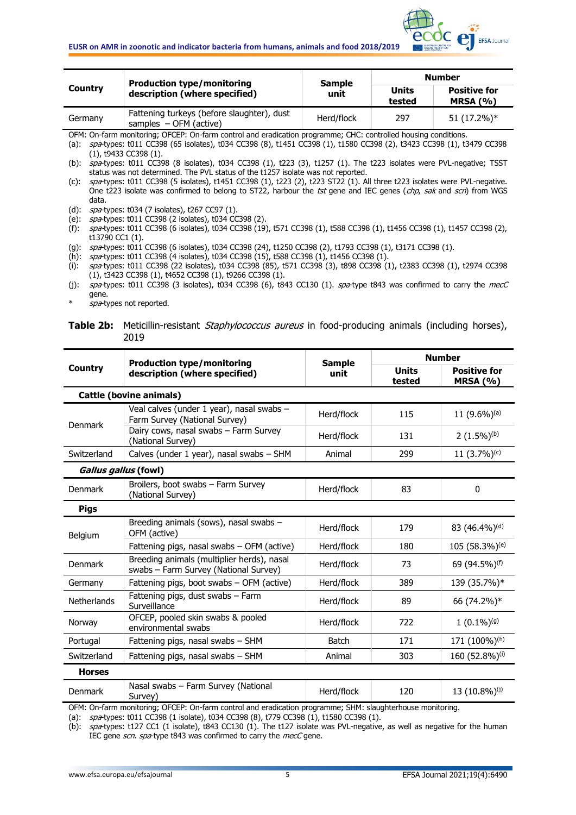

| Country | <b>Production type/monitoring</b><br>description (where specified)                                            | <b>Sample</b> | <b>Number</b>   |                                        |
|---------|---------------------------------------------------------------------------------------------------------------|---------------|-----------------|----------------------------------------|
|         |                                                                                                               | unit          | Units<br>tested | <b>Positive for</b><br><b>MRSA (%)</b> |
| Germany | Fattening turkeys (before slaughter), dust<br>samples $-$ OFM (active)                                        | Herd/flock    | 297             | 51 (17.2%)*                            |
|         | OEM: On-farm monitoring: OECED: On-farm control and eradication programme: CHC: controlled bousing conditions |               |                 |                                        |

OFM: On-farm monitoring; OFCEP: On-farm control and eradication programme; CHC: controlled housing conditions. (a): spa-types: t011 CC398 (65 isolates), t034 CC398 (8), t1451 CC398 (1), t1580 CC398 (2), t3423 CC398 (1), t3479 CC398

(b):  $\frac{1}{2}$  spa-types: t011 CC398 (8 isolates), t034 CC398 (1), t223 (3), t1257 (1). The t223 isolates were PVL-negative; TSST status was not determined. The PVL status of the t1257 isolate was not reported.

(c): spa-types: t011 CC398 (5 isolates), t1451 CC398 (1), t223 (2), t223 ST22 (1). All three t223 isolates were PVL-negative. One t223 isolate was confirmed to belong to ST22, harbour the tst gene and IEC genes (chp, sak and scn) from WGS data.

(d): spa-types: t034 (7 isolates), t267 CC97 (1).

(e): spa-types: t011 CC398 (2 isolates), t034 CC398 (2).

(f): spa-types: t011 CC398 (6 isolates), t034 CC398 (19), t571 CC398 (1), t588 CC398 (1), t1456 CC398 (1), t1457 CC398 (2), t13790 CC1 (1).

(g): spa-types: t011 CC398 (6 isolates), t034 CC398 (24), t1250 CC398 (2), t1793 CC398 (1), t3171 CC398 (1).

(h): spa-types: t011 CC398 (4 isolates), t034 CC398 (15), t588 CC398 (1), t1456 CC398 (1).

(i): spa-types: t011 CC398 (22 isolates), t034 CC398 (85), t571 CC398 (3), t898 CC398 (1), t2383 CC398 (1), t2974 CC398 (1), t3423 CC398 (1), t4652 CC398 (1), t9266 CC398 (1).

(j):  $spa$ -types: t011 CC398 (3 isolates), t034 CC398 (6), t843 CC130 (1).  $spa$ -type t843 was confirmed to carry the mecC gene.

spa-types not reported.

**Table 2b:** Meticillin-resistant *Staphylococcus aureus* in food-producing animals (including horses), 2019

|                      | <b>Production type/monitoring</b>                                                                                    | <b>Sample</b>                                          | <b>Number</b>          |                                        |  |
|----------------------|----------------------------------------------------------------------------------------------------------------------|--------------------------------------------------------|------------------------|----------------------------------------|--|
| <b>Country</b>       | description (where specified)                                                                                        | unit                                                   | <b>Units</b><br>tested | <b>Positive for</b><br><b>MRSA (%)</b> |  |
|                      | <b>Cattle (bovine animals)</b>                                                                                       |                                                        |                        |                                        |  |
| <b>Denmark</b>       | Veal calves (under 1 year), nasal swabs -<br>Farm Survey (National Survey)                                           | Herd/flock                                             | 115                    | 11 $(9.6\%)$ <sup>(a)</sup>            |  |
|                      | Dairy cows, nasal swabs - Farm Survey<br>(National Survey)                                                           | Herd/flock                                             | 131                    | $2(1.5\%)^{(b)}$                       |  |
| Switzerland          | Calves (under 1 year), nasal swabs - SHM                                                                             | 11 $(3.7%)$ <sup>(c)</sup><br>299<br>Animal            |                        |                                        |  |
| Gallus gallus (fowl) |                                                                                                                      |                                                        |                        |                                        |  |
| <b>Denmark</b>       | Broilers, boot swabs - Farm Survey<br>(National Survey)                                                              | Herd/flock                                             | 83                     | $\mathbf{0}$                           |  |
| <b>Pigs</b>          |                                                                                                                      |                                                        |                        |                                        |  |
| Belgium              | Breeding animals (sows), nasal swabs -<br>OFM (active)                                                               | Herd/flock                                             | 179                    | 83 (46.4%) <sup>(d)</sup>              |  |
|                      | Fattening pigs, nasal swabs - OFM (active)                                                                           | Herd/flock                                             | 180                    | 105 (58.3%) <sup>(e)</sup>             |  |
| <b>Denmark</b>       | Breeding animals (multiplier herds), nasal<br>swabs - Farm Survey (National Survey)                                  | Herd/flock                                             | 73                     | 69 (94.5%) <sup>(f)</sup>              |  |
| Germany              | Fattening pigs, boot swabs - OFM (active)                                                                            | Herd/flock                                             | 389                    | 139 (35.7%)*                           |  |
| <b>Netherlands</b>   | Fattening pigs, dust swabs - Farm<br>Surveillance                                                                    | Herd/flock                                             | 89                     | 66 (74.2%)*                            |  |
| Norway               | OFCEP, pooled skin swabs & pooled<br>environmental swabs                                                             | Herd/flock                                             | 722                    | $1(0.1\%)$ <sup>(g)</sup>              |  |
| Portugal             | Fattening pigs, nasal swabs - SHM                                                                                    | Batch                                                  | 171                    | 171 (100%) <sup>(h)</sup>              |  |
| Switzerland          | Fattening pigs, nasal swabs - SHM                                                                                    | Animal                                                 | 303                    | 160 (52.8%)(i)                         |  |
| <b>Horses</b>        |                                                                                                                      |                                                        |                        |                                        |  |
| <b>Denmark</b>       | Nasal swabs - Farm Survey (National<br>Survey)<br>OEM, On farm manitoring, OECED, On farm control and oradication pu | Herd/flock<br>roarammou CHMu claughtorhouse manitoring | 120                    | 13 (10.8%) <sup>(j)</sup>              |  |

OFM: On-farm monitoring; OFCEP: On-farm control and eradication programme; SHM: slaughterhouse monitoring.

(a): spa-types: t011 CC398 (1 isolate), t034 CC398 (8), t779 CC398 (1), t1580 CC398 (1).

(b): spa-types: t127 CC1 (1 isolate), t843 CC130 (1). The t127 isolate was PVL-negative, as well as negative for the human IEC gene scn. spa-type t843 was confirmed to carry the mecC gene.

<sup>(1),</sup> t9433 CC398 (1).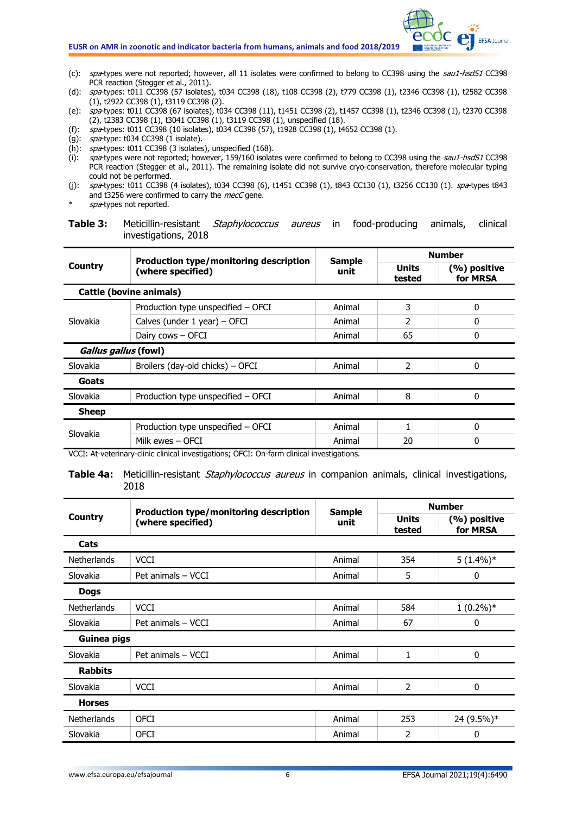

- (c): spa-types were not reported; however, all 11 isolates were confirmed to belong to CC398 using the sau1-hsdS1 CC398 PCR reaction (Stegger et al., 2011).
- (d): spa-types: t011 CC398 (57 isolates), t034 CC398 (18), t108 CC398 (2), t779 CC398 (1), t2346 CC398 (1), t2582 CC398 (1), t2922 CC398 (1), t3119 CC398 (2).
- (e): spa-types: t011 CC398 (67 isolates), t034 CC398 (11), t1451 CC398 (2), t1457 CC398 (1), t2346 CC398 (1), t2370 CC398 (2), t2383 CC398 (1), t3041 CC398 (1), t3119 CC398 (1), unspecified (18).
- (f): spa-types: t011 CC398 (10 isolates), t034 CC398 (57), t1928 CC398 (1), t4652 CC398 (1).
- $(g)$ : spa-type: t034 CC398 (1 isolate).
- (h): spa-types: t011 CC398 (3 isolates), unspecified (168).
- (i):  $spa$ -types were not reported; however, 159/160 isolates were confirmed to belong to CC398 using the  $sau1-hsdS1$  CC398 PCR reaction (Stegger et al., 2011). The remaining isolate did not survive cryo-conservation, therefore molecular typing could not be performed.
- (j): spa-types: t011 CC398 (4 isolates), t034 CC398 (6), t1451 CC398 (1), t843 CC130 (1), t3256 CC130 (1). spa-types t843 and t3256 were confirmed to carry the mecC gene.
- spa-types not reported.

**Table 3:** Meticillin-resistant Staphylococcus aureus in food-producing animals, clinical investigations, 2018

|                         | Production type/monitoring description   | <b>Sample</b> | <b>Number</b>          |                          |  |
|-------------------------|------------------------------------------|---------------|------------------------|--------------------------|--|
| Country                 | (where specified)                        | unit          | <b>Units</b><br>tested | (%) positive<br>for MRSA |  |
| Cattle (bovine animals) |                                          |               |                        |                          |  |
|                         | Production type unspecified - OFCI       | Animal        | 3                      | 0                        |  |
| Slovakia                | Calves (under $1$ year) – OFCI<br>Animal |               |                        | 0                        |  |
|                         | Dairy cows - OFCI<br>Animal              |               | 65                     | 0                        |  |
| Gallus gallus (fowl)    |                                          |               |                        |                          |  |
| <b>Slovakia</b>         | Broilers (day-old chicks) - OFCI         | Animal        | 2                      | 0                        |  |
| Goats                   |                                          |               |                        |                          |  |
| Slovakia                | Production type unspecified - OFCI       | Animal        | 8                      | 0                        |  |
| <b>Sheep</b>            |                                          |               |                        |                          |  |
| Slovakia                | Production type unspecified - OFCI       | Animal        |                        | 0                        |  |
|                         | Milk ewes - OFCI                         | Animal        | 20                     | 0                        |  |

VCCI: At-veterinary-clinic clinical investigations; OFCI: On-farm clinical investigations.

**Table 4a:** Meticillin-resistant *Staphylococcus aureus* in companion animals, clinical investigations, 2018

|                    | Production type/monitoring description | <b>Sample</b> | <b>Number</b>          |                          |
|--------------------|----------------------------------------|---------------|------------------------|--------------------------|
| <b>Country</b>     | (where specified)                      | unit          | <b>Units</b><br>tested | (%) positive<br>for MRSA |
| Cats               |                                        |               |                        |                          |
| <b>Netherlands</b> | <b>VCCI</b>                            | Animal        | 354                    | $5(1.4\%)*$              |
| Slovakia           | Pet animals - VCCI                     | Animal        | 5                      | 0                        |
| <b>Dogs</b>        |                                        |               |                        |                          |
| <b>Netherlands</b> | <b>VCCI</b>                            | Animal        | 584                    | $1(0.2\%)*$              |
| Slovakia           | Pet animals - VCCI                     | Animal        | 67                     | $\mathbf 0$              |
| Guinea pigs        |                                        |               |                        |                          |
| Slovakia           | Pet animals - VCCI                     | Animal        | 1                      | $\mathbf 0$              |
| <b>Rabbits</b>     |                                        |               |                        |                          |
| Slovakia           | <b>VCCI</b>                            | Animal        | 2                      | 0                        |
| <b>Horses</b>      |                                        |               |                        |                          |
| <b>Netherlands</b> | <b>OFCI</b>                            | Animal        | 253                    | 24 (9.5%)*               |
| Slovakia           | <b>OFCI</b>                            | Animal        | 2                      | 0                        |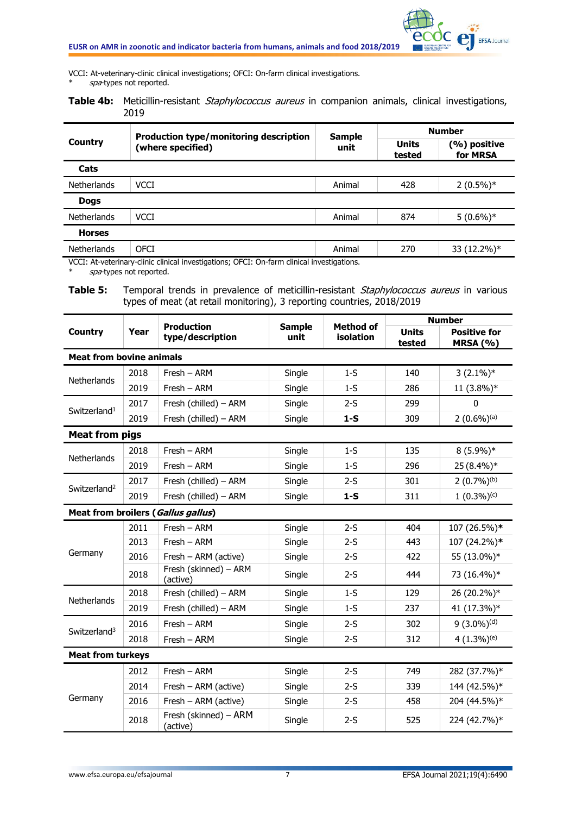

VCCI: At-veterinary-clinic clinical investigations; OFCI: On-farm clinical investigations. spa-types not reported.

**Table 4b:** Meticillin-resistant *Staphylococcus aureus* in companion animals, clinical investigations, 2019

| Country            | <b>Production type/monitoring description</b><br>(where specified)                         | <b>Sample</b> | <b>Number</b>          |                          |  |  |
|--------------------|--------------------------------------------------------------------------------------------|---------------|------------------------|--------------------------|--|--|
|                    |                                                                                            | unit          | <b>Units</b><br>tested | (%) positive<br>for MRSA |  |  |
| Cats               |                                                                                            |               |                        |                          |  |  |
| <b>Netherlands</b> | <b>VCCI</b>                                                                                | Animal        | 428                    | $2(0.5\%)*$              |  |  |
| <b>Dogs</b>        |                                                                                            |               |                        |                          |  |  |
| <b>Netherlands</b> | <b>VCCI</b>                                                                                | Animal        | 874                    | $5(0.6\%)*$              |  |  |
| <b>Horses</b>      |                                                                                            |               |                        |                          |  |  |
| <b>Netherlands</b> | <b>OFCI</b>                                                                                | Animal        | 270                    | 33 (12.2%)*              |  |  |
|                    | VCCI: At-veterinary-clinic clinical investigations; OFCI: On-farm clinical investigations. |               |                        |                          |  |  |

 $spa$ -types not reported.

Table 5: Temporal trends in prevalence of meticillin-resistant Staphylococcus aureus in various types of meat (at retail monitoring), 3 reporting countries, 2018/2019

|                                 |      | <b>Production</b>                  | <b>Sample</b> |                  | <b>Method of</b>       | <b>Number</b>                          |  |
|---------------------------------|------|------------------------------------|---------------|------------------|------------------------|----------------------------------------|--|
| <b>Country</b>                  | Year | type/description                   | unit          | <b>isolation</b> | <b>Units</b><br>tested | <b>Positive for</b><br><b>MRSA (%)</b> |  |
| <b>Meat from bovine animals</b> |      |                                    |               |                  |                        |                                        |  |
| Netherlands                     | 2018 | Fresh - ARM                        | Single        | $1-S$            | 140                    | $3(2.1\%)*$                            |  |
|                                 | 2019 | $Fresh - ARM$                      | Single        | $1-S$            | 286                    | 11 (3.8%)*                             |  |
|                                 | 2017 | Fresh (chilled) - ARM              | Single        | $2-S$            | 299                    | $\mathbf{0}$                           |  |
| Switzerland <sup>1</sup>        | 2019 | Fresh (chilled) - ARM              | Single        | $1-S$            | 309                    | $2(0.6\%)$ <sup>(a)</sup>              |  |
| <b>Meat from pigs</b>           |      |                                    |               |                  |                        |                                        |  |
|                                 | 2018 | Fresh - ARM                        | Single        | $1-S$            | 135                    | $8(5.9\%)*$                            |  |
| Netherlands                     | 2019 | Fresh - ARM                        | Single        | $1-S$            | 296                    | 25 (8.4%)*                             |  |
|                                 | 2017 | Fresh (chilled) - ARM              | Single        | $2-S$            | 301                    | $2(0.7\%)^{(b)}$                       |  |
| Switzerland <sup>2</sup>        | 2019 | Fresh (chilled) - ARM              | Single        | $1-S$            | 311                    | $1(0.3\%)$ <sup>(c)</sup>              |  |
|                                 |      | Meat from broilers (Gallus gallus) |               |                  |                        |                                        |  |
|                                 | 2011 | $Fresh - ARM$                      | Single        | $2-S$            | 404                    | 107 (26.5%)*                           |  |
|                                 | 2013 | $Fresh - ARM$                      | Single        | $2-S$            | 443                    | 107 (24.2%)*                           |  |
| Germany                         | 2016 | Fresh - ARM (active)               | Single        | $2-S$            | 422                    | 55 (13.0%)*                            |  |
|                                 | 2018 | Fresh (skinned) - ARM<br>(active)  | Single        | $2-S$            | 444                    | 73 (16.4%)*                            |  |
| Netherlands                     | 2018 | Fresh (chilled) - ARM              | Single        | $1-S$            | 129                    | 26 (20.2%)*                            |  |
|                                 | 2019 | Fresh (chilled) - ARM              | Single        | $1-S$            | 237                    | 41 (17.3%)*                            |  |
| Switzerland <sup>3</sup>        | 2016 | Fresh - ARM                        | Single        | $2-S$            | 302                    | $9(3.0\%)$ <sup>(d)</sup>              |  |
|                                 | 2018 | Fresh - ARM                        | Single        | $2-S$            | 312                    | $4(1.3\%)^{(e)}$                       |  |
| <b>Meat from turkeys</b>        |      |                                    |               |                  |                        |                                        |  |
|                                 | 2012 | Fresh - ARM                        | Single        | $2-S$            | 749                    | 282 (37.7%)*                           |  |
|                                 | 2014 | Fresh - ARM (active)               | Single        | $2-S$            | 339                    | 144 (42.5%)*                           |  |
| Germany                         | 2016 | Fresh - ARM (active)               | Single        | $2-S$            | 458                    | 204 (44.5%)*                           |  |
|                                 | 2018 | Fresh (skinned) - ARM<br>(active)  | Single        | $2-S$            | 525                    | 224 (42.7%)*                           |  |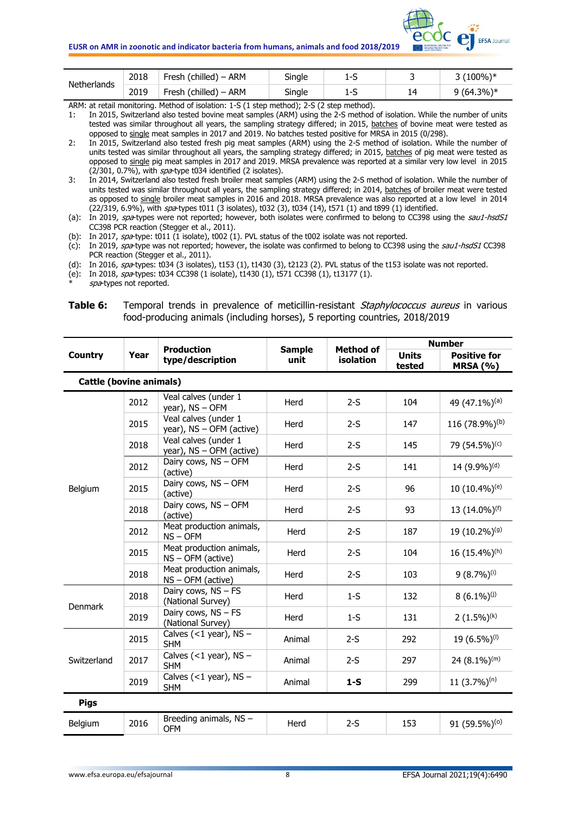

| Netherlands | 2018 | Fresh (chilled) - ARM             | Single | $\sim$<br>--<br>. . | (100%)*    |
|-------------|------|-----------------------------------|--------|---------------------|------------|
|             | 2019 | Fresh (chilled) – $\ldots$<br>ARM | Single | ∽<br>1-2            | *(64.3%) و |

ARM: at retail monitoring. Method of isolation: 1-S (1 step method); 2-S (2 step method).

1: In 2015, Switzerland also tested bovine meat samples (ARM) using the 2-S method of isolation. While the number of units tested was similar throughout all years, the sampling strategy differed; in 2015, batches of bovine meat were tested as opposed to single meat samples in 2017 and 2019. No batches tested positive for MRSA in 2015 (0/298).

2: In 2015, Switzerland also tested fresh pig meat samples (ARM) using the 2-S method of isolation. While the number of units tested was similar throughout all years, the sampling strategy differed; in 2015, batches of pig meat were tested as opposed to single pig meat samples in 2017 and 2019. MRSA prevalence was reported at a similar very low level in 2015  $(2/301, 0.7\%)$ , with  $spa$ -type t034 identified (2 isolates).

3: In 2014, Switzerland also tested fresh broiler meat samples (ARM) using the 2-S method of isolation. While the number of units tested was similar throughout all years, the sampling strategy differed; in 2014, batches of broiler meat were tested as opposed to single broiler meat samples in 2016 and 2018. MRSA prevalence was also reported at a low level in 2014 (22/319, 6.9%), with spa-types t011 (3 isolates), t032 (3), t034 (14), t571 (1) and t899 (1) identified.

(b): In 2017,  $spat$ ype: t011 (1 isolate), t002 (1). PVL status of the t002 isolate was not reported.

(c): In 2019, spa-type was not reported; however, the isolate was confirmed to belong to CC398 using the sau1-hsdS1 CC398 PCR reaction (Stegger et al., 2011).

(d): In 2016,  $spa$ -types: t034 (3 isolates), t153 (1), t1430 (3), t2123 (2). PVL status of the t153 isolate was not reported.

(e): In 2018, spa-types: t034 CC398 (1 isolate), t1430 (1), t571 CC398 (1), t13177 (1).

spa-types not reported.

#### **Table 6:** Temporal trends in prevalence of meticillin-resistant *Staphylococcus aureus* in various food-producing animals (including horses), 5 reporting countries, 2018/2019

|                                |      |                                                  | <b>Sample</b> |                               |                        | <b>Number</b>                          |
|--------------------------------|------|--------------------------------------------------|---------------|-------------------------------|------------------------|----------------------------------------|
| <b>Country</b>                 | Year | <b>Production</b><br>type/description            | unit          | <b>Method of</b><br>isolation | <b>Units</b><br>tested | <b>Positive for</b><br><b>MRSA (%)</b> |
| <b>Cattle (bovine animals)</b> |      |                                                  |               |                               |                        |                                        |
|                                | 2012 | Veal calves (under 1<br>year), NS - OFM          | Herd          | $2-S$                         | 104                    | 49 (47.1%) <sup>(a)</sup>              |
|                                | 2015 | Veal calves (under 1<br>year), NS - OFM (active) | Herd          | $2-S$                         | 147                    | 116 (78.9%) <sup>(b)</sup>             |
|                                | 2018 | Veal calves (under 1<br>year), NS - OFM (active) | Herd          | $2-S$                         | 145                    | 79 (54.5%) <sup>(c)</sup>              |
|                                | 2012 | Dairy cows, NS - OFM<br>(active)                 | Herd          | $2-S$                         | 141                    | 14 (9.9%) <sup>(d)</sup>               |
| Belgium                        | 2015 | Dairy cows, NS - OFM<br>(active)                 | Herd          | $2-S$                         | 96                     | 10 (10.4%) <sup>(e)</sup>              |
|                                | 2018 | Dairy cows, NS - OFM<br>(active)                 | Herd          | $2-S$                         | 93                     | 13 (14.0%) <sup>(f)</sup>              |
|                                | 2012 | Meat production animals,<br>$NS - OFM$           | Herd          | $2-S$                         | 187                    | 19 (10.2%) <sup>(g)</sup>              |
|                                | 2015 | Meat production animals,<br>$NS - OFM$ (active)  | Herd          | $2-S$                         | 104                    | 16 (15.4%)(h)                          |
|                                | 2018 | Meat production animals,<br>NS-OFM (active)      | Herd          | $2-S$                         | 103                    | $9(8.7\%)$ <sup>(i)</sup>              |
| Denmark                        | 2018 | Dairy cows, NS - FS<br>(National Survey)         | Herd          | $1-S$                         | 132                    | $8(6.1\%)$                             |
|                                | 2019 | Dairy cows, NS - FS<br>(National Survey)         | Herd          | $1-S$                         | 131                    | 2 $(1.5\%)^{(k)}$                      |
|                                | 2015 | Calves $(<1$ year), NS -<br><b>SHM</b>           | Animal        | $2-S$                         | 292                    | 19 (6.5%) <sup>(l)</sup>               |
| Switzerland                    | 2017 | Calves $(<1$ year), NS -<br><b>SHM</b>           | Animal        | $2-S$                         | 297                    | 24 $(8.1\%)$ <sup>(m)</sup>            |
|                                | 2019 | Calves (<1 year), $NS -$<br><b>SHM</b>           | Animal        | $1-S$                         | 299                    | 11 $(3.7\%)^{(n)}$                     |
| <b>Pigs</b>                    |      |                                                  |               |                               |                        |                                        |
| Belgium                        | 2016 | Breeding animals, NS -<br><b>OFM</b>             | Herd          | $2-S$                         | 153                    | 91 (59.5%) <sup>(0)</sup>              |

<sup>(</sup>a): In 2019,  $\sin 2019$ ,  $\sin 2019$ ,  $\sin 2019$  are not reported; however, both isolates were confirmed to belong to CC398 using the sau1-hsdS1 CC398 PCR reaction (Stegger et al., 2011).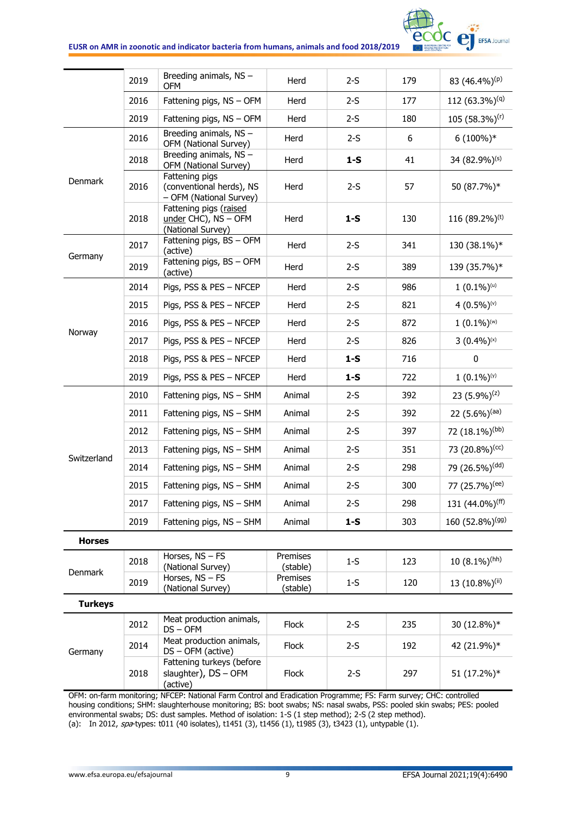

|                | 2019 | Breeding animals, NS -<br><b>OFM</b>                                  | Herd                 | $2-S$ | 179 | 83 $(46.4\%)^{(p)}$           |
|----------------|------|-----------------------------------------------------------------------|----------------------|-------|-----|-------------------------------|
|                | 2016 | Fattening pigs, NS - OFM                                              | Herd                 | $2-S$ | 177 | 112 $(63.3\%)$ <sup>(q)</sup> |
|                | 2019 | Fattening pigs, NS - OFM                                              | Herd                 | $2-S$ | 180 | 105 (58.3%) <sup>(r)</sup>    |
|                | 2016 | Breeding animals, NS -<br>OFM (National Survey)                       | Herd                 | $2-S$ | 6   | $6(100\%)*$                   |
|                | 2018 | Breeding animals, NS -<br>OFM (National Survey)                       | Herd                 | $1-S$ | 41  | 34 (82.9%) <sup>(s)</sup>     |
| <b>Denmark</b> | 2016 | Fattening pigs<br>(conventional herds), NS<br>- OFM (National Survey) | Herd                 | $2-S$ | 57  | 50 (87.7%)*                   |
|                | 2018 | Fattening pigs (raised<br>$under$ CHC), NS - OFM<br>(National Survey) | Herd                 | $1-S$ | 130 | 116 $(89.2\%)$ <sup>(t)</sup> |
| Germany        | 2017 | Fattening pigs, BS - OFM<br>(active)                                  | Herd                 | $2-S$ | 341 | 130 (38.1%)*                  |
|                | 2019 | Fattening pigs, BS - OFM<br>(active)                                  | Herd                 | $2-S$ | 389 | 139 (35.7%)*                  |
|                | 2014 | Pigs, PSS & PES - NFCEP                                               | Herd                 | $2-S$ | 986 | $1(0.1\%)$ <sup>(u)</sup>     |
|                | 2015 | Pigs, PSS & PES - NFCEP                                               | Herd                 | $2-S$ | 821 | 4 $(0.5\%)$ <sup>(v)</sup>    |
| Norway         | 2016 | Pigs, PSS & PES - NFCEP                                               | Herd                 | $2-S$ | 872 | $1(0.1\%)$ <sup>(w)</sup>     |
|                | 2017 | Pigs, PSS & PES - NFCEP                                               | Herd                 | $2-S$ | 826 | $3(0.4\%)^{(x)}$              |
|                | 2018 | Pigs, PSS & PES - NFCEP                                               | Herd                 | $1-S$ | 716 | 0                             |
|                | 2019 | Pigs, PSS & PES - NFCEP                                               | Herd                 | $1-S$ | 722 | $1(0.1\%)$                    |
|                | 2010 | Fattening pigs, NS - SHM                                              | Animal               | $2-S$ | 392 | 23 $(5.9\%)$ <sup>(z)</sup>   |
|                | 2011 | Fattening pigs, NS - SHM                                              | Animal               | $2-S$ | 392 | 22 $(5.6\%)$ <sup>(aa)</sup>  |
|                | 2012 | Fattening pigs, NS - SHM                                              | Animal               | $2-S$ | 397 | 72 (18.1%) <sup>(bb)</sup>    |
| Switzerland    | 2013 | Fattening pigs, NS - SHM                                              | Animal               | $2-S$ | 351 | 73 $(20.8\%)$ <sup>(cc)</sup> |
|                | 2014 | Fattening pigs, NS - SHM                                              | Animal               | $2-S$ | 298 | 79 (26.5%) <sup>(dd)</sup>    |
|                | 2015 | Fattening pigs, NS - SHM                                              | Animal               | $2-S$ | 300 | 77 (25.7%) <sup>(ee)</sup>    |
|                | 2017 | Fattening pigs, NS - SHM                                              | Animal               | $2-S$ | 298 | 131 (44.0%) <sup>(ff)</sup>   |
|                | 2019 | Fattening pigs, NS - SHM                                              | Animal               | $1-S$ | 303 | 160 (52.8%) <sup>(gg)</sup>   |
| <b>Horses</b>  |      |                                                                       |                      |       |     |                               |
| Denmark        | 2018 | Horses, NS - FS<br>(National Survey)                                  | Premises<br>(stable) | $1-S$ | 123 | $10(8.1\%)$ <sup>(hh)</sup>   |
|                | 2019 | Horses, $NS - FS$<br>(National Survey)                                | Premises<br>(stable) | $1-S$ | 120 | 13 (10.8%) <sup>(ii)</sup>    |
| <b>Turkeys</b> |      |                                                                       |                      |       |     |                               |
|                | 2012 | Meat production animals,<br>$DS - OFM$                                | Flock                | $2-S$ | 235 | 30 (12.8%)*                   |
| Germany        | 2014 | Meat production animals,<br>$DS - OFM$ (active)                       | Flock                | $2-S$ | 192 | 42 (21.9%)*                   |
|                | 2018 | Fattening turkeys (before<br>slaughter), DS - OFM<br>(active)         | Flock                | $2-S$ | 297 | 51 (17.2%)*                   |
|                |      |                                                                       |                      |       |     |                               |

OFM: on-farm monitoring; NFCEP: National Farm Control and Eradication Programme; FS: Farm survey; CHC: controlled housing conditions; SHM: slaughterhouse monitoring; BS: boot swabs; NS: nasal swabs, PSS: pooled skin swabs; PES: pooled environmental swabs; DS: dust samples. Method of isolation: 1-S (1 step method); 2-S (2 step method). (a): In 2012, spa-types: t011 (40 isolates), t1451 (3), t1456 (1), t1985 (3), t3423 (1), untypable (1).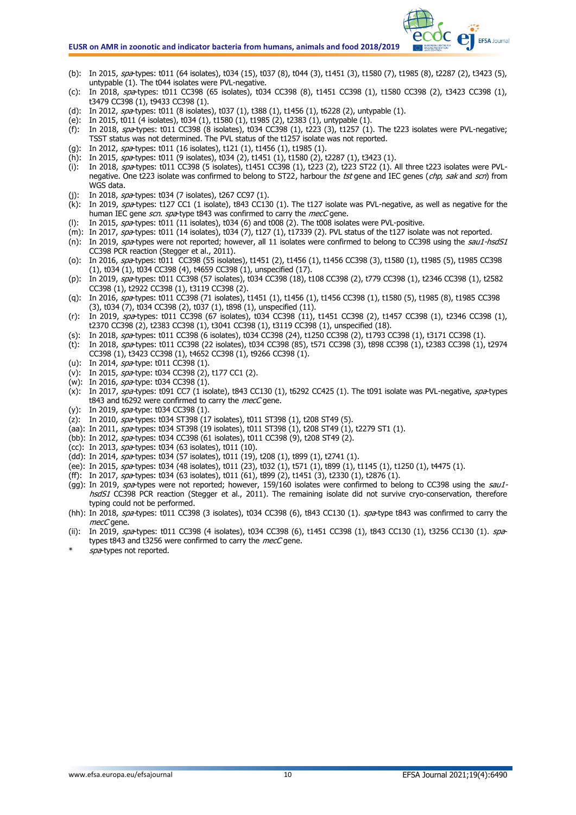#### **EUSR on AMR in zoonotic and indicator bacteria from humans, animals and food 2018/2019**

- (b): In 2015, spa-types: t011 (64 isolates), t034 (15), t037 (8), t044 (3), t1451 (3), t1580 (7), t1985 (8), t2287 (2), t3423 (5), untypable (1). The t044 isolates were PVL-negative.
- (c): In 2018, spa-types: t011 CC398 (65 isolates), t034 CC398 (8), t1451 CC398 (1), t1580 CC398 (2), t3423 CC398 (1), t3479 CC398 (1), t9433 CC398 (1).
- (d): In 2012, spa-types: t011 (8 isolates), t037 (1), t388 (1), t1456 (1), t6228 (2), untypable (1).
- (e): In 2015, t011 (4 isolates), t034 (1), t1580 (1), t1985 (2), t2383 (1), untypable (1).
- (f): In 2018, spa-types: t011 CC398 (8 isolates), t034 CC398 (1), t223 (3), t1257 (1). The t223 isolates were PVL-negative; TSST status was not determined. The PVL status of the t1257 isolate was not reported.
- (g): In 2012, spa-types: t011 (16 isolates), t121 (1), t1456 (1), t1985 (1).
- (h): In 2015, spa-types: t011 (9 isolates), t034 (2), t1451 (1), t1580 (2), t2287 (1), t3423 (1).
- (i): In 2018, spa-types: t011 CC398 (5 isolates), t1451 CC398 (1), t223 (2), t223 ST22 (1). All three t223 isolates were PVLnegative. One t223 isolate was confirmed to belong to ST22, harbour the tst gene and IEC genes (chp, sak and scn) from WGS data.
- (j): In 2018, spa-types: t034 (7 isolates), t267 CC97 (1).
- (k): In 2019,  $\frac{1}{5}$   $\frac{1}{27}$  CC1 (1 isolate), t843 CC130 (1). The t127 isolate was PVL-negative, as well as negative for the human IEC gene scn. spa-type t843 was confirmed to carry the mecC gene.
- In 2015,  $spa$ -types: t011 (11 isolates), t034 (6) and t008 (2). The t008 isolates were PVL-positive.
- (m): In 2017, spa-types: t011 (14 isolates), t034 (7), t127 (1), t17339 (2). PVL status of the t127 isolate was not reported. (n): In 2019,  $\frac{1}{10}$  spa-types were not reported; however, all 11 isolates were confirmed to belong to CC398 using the sau1-hsdS1 CC398 PCR reaction (Stegger et al., 2011).
- (o): In 2016, spa-types: t011 CC398 (55 isolates), t1451 (2), t1456 (1), t1456 CC398 (3), t1580 (1), t1985 (5), t1985 CC398 (1), t034 (1), t034 CC398 (4), t4659 CC398 (1), unspecified (17).
- (p): In 2019, spa-types: t011 CC398 (57 isolates), t034 CC398 (18), t108 CC398 (2), t779 CC398 (1), t2346 CC398 (1), t2582 CC398 (1), t2922 CC398 (1), t3119 CC398 (2).
- (q): In 2016, spa-types: t011 CC398 (71 isolates), t1451 (1), t1456 (1), t1456 CC398 (1), t1580 (5), t1985 (8), t1985 CC398 (3), t034 (7), t034 CC398 (2), t037 (1), t898 (1), unspecified (11).
- (r): In 2019, spa-types: t011 CC398 (67 isolates), t034 CC398 (11), t1451 CC398 (2), t1457 CC398 (1), t2346 CC398 (1), t2370 CC398 (2), t2383 CC398 (1), t3041 CC398 (1), t3119 CC398 (1), unspecified (18).
- (s): In 2018, spa-types: t011 CC398 (6 isolates), t034 CC398 (24), t1250 CC398 (2), t1793 CC398 (1), t3171 CC398 (1).
- (t): In 2018, spa-types: t011 CC398 (22 isolates), t034 CC398 (85), t571 CC398 (3), t898 CC398 (1), t2383 CC398 (1), t2974 CC398 (1), t3423 CC398 (1), t4652 CC398 (1), t9266 CC398 (1).
- (u): In 2014, spa-type: t011 CC398 (1).
- (v): In 2015, spa-type: t034 CC398 (2), t177 CC1 (2).
- (w): In 2016, spa-type: t034 CC398 (1).
- (x): In 2017, spa-types: t091 CC7 (1 isolate), t843 CC130 (1), t6292 CC425 (1). The t091 isolate was PVL-negative, spa-types t843 and t6292 were confirmed to carry the mecC gene.
- (y): In 2019, spa-type: t034 CC398 (1).
- (z): In 2010, spa-types: t034 ST398 (17 isolates), t011 ST398 (1), t208 ST49 (5).
- (aa): In 2011, spa-types: t034 ST398 (19 isolates), t011 ST398 (1), t208 ST49 (1), t2279 ST1 (1).
- (bb): In 2012, spa-types: t034 CC398 (61 isolates), t011 CC398 (9), t208 ST49 (2).
- (cc): In 2013, spa-types: t034 (63 isolates), t011 (10).
- (dd): In 2014, spa-types: t034 (57 isolates), t011 (19), t208 (1), t899 (1), t2741 (1).
- (ee): In 2015, spa-types: t034 (48 isolates), t011 (23), t032 (1), t571 (1), t899 (1), t1145 (1), t1250 (1), t4475 (1).
- (ff): In 2017, spa-types: t034 (63 isolates), t011 (61), t899 (2), t1451 (3), t2330 (1), t2876 (1).
- (gg): In 2019, spa-types were not reported; however, 159/160 isolates were confirmed to belong to CC398 using the sau1hsdS1 CC398 PCR reaction (Stegger et al., 2011). The remaining isolate did not survive cryo-conservation, therefore typing could not be performed.
- (hh): In 2018, spa-types: t011 CC398 (3 isolates), t034 CC398 (6), t843 CC130 (1). spa-type t843 was confirmed to carry the mecC gene.
- (ii): In 2019, spa-types: t011 CC398 (4 isolates), t034 CC398 (6), t1451 CC398 (1), t843 CC130 (1), t3256 CC130 (1). spatypes t843 and t3256 were confirmed to carry the mecC gene.
- spa-types not reported.

**C** EFSA Journal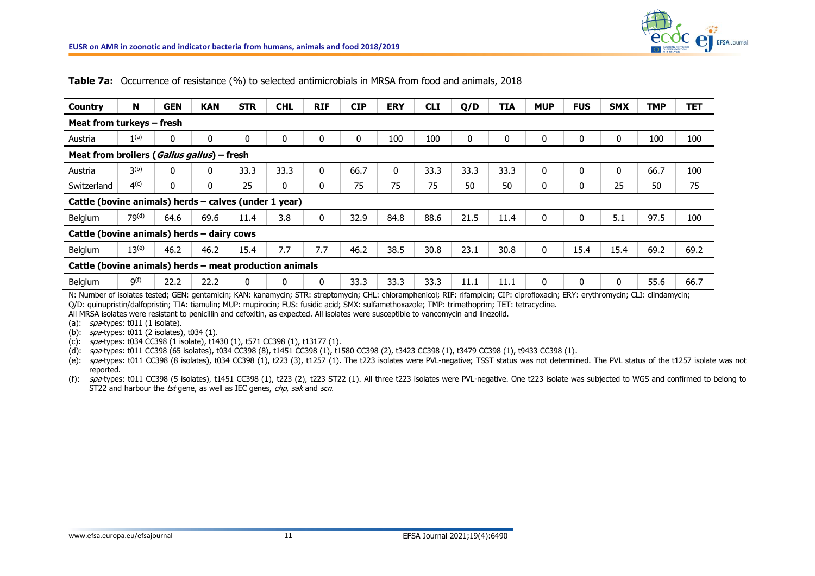

| <b>Country</b>                                          | N                                          | <b>GEN</b> | <b>KAN</b>   | <b>STR</b> | <b>CHL</b> | <b>RIF</b>   | <b>CIP</b> | <b>ERY</b> | <b>CLI</b> | Q/D  | <b>TIA</b>  | <b>MUP</b> | <b>FUS</b>  | <b>SMX</b>   | <b>TMP</b> | <b>TET</b> |
|---------------------------------------------------------|--------------------------------------------|------------|--------------|------------|------------|--------------|------------|------------|------------|------|-------------|------------|-------------|--------------|------------|------------|
| Meat from turkeys – fresh                               |                                            |            |              |            |            |              |            |            |            |      |             |            |             |              |            |            |
| Austria                                                 | 1(a)                                       | 0          | $\mathbf{0}$ | 0          | $\Omega$   | 0            | 0          | 100        | 100        | 0    | $\mathbf 0$ | 0          | $\mathbf 0$ | 0            | 100        | 100        |
|                                                         | Meat from broilers (Gallus gallus) - fresh |            |              |            |            |              |            |            |            |      |             |            |             |              |            |            |
| Austria                                                 | $\mathsf{B}^{(b)}$                         | 0          | 0            | 33.3       | 33.3       | $\Omega$     | 66.7       | 0          | 33.3       | 33.3 | 33.3        | 0          | $\Omega$    | $\mathbf{0}$ | 66.7       | 100        |
| Switzerland                                             | 4 <sup>(c)</sup>                           | 0          | $\mathbf{0}$ | 25         | 0          | 0            | 75         | 75         | 75         | 50   | 50          | 0          | 0           | 25           | 50         | 75         |
| Cattle (bovine animals) herds - calves (under 1 year)   |                                            |            |              |            |            |              |            |            |            |      |             |            |             |              |            |            |
| Belgium                                                 | 79 <sup>(d)</sup>                          | 64.6       | 69.6         | 11.4       | 3.8        | $\mathbf{0}$ | 32.9       | 84.8       | 88.6       | 21.5 | 11.4        | 0          | $\Omega$    | 5.1          | 97.5       | 100        |
| Cattle (bovine animals) herds - dairy cows              |                                            |            |              |            |            |              |            |            |            |      |             |            |             |              |            |            |
| Belgium                                                 | $13^{(e)}$                                 | 46.2       | 46.2         | 15.4       | 7.7        | 7.7          | 46.2       | 38.5       | 30.8       | 23.1 | 30.8        | 0          | 15.4        | 15.4         | 69.2       | 69.2       |
| Cattle (bovine animals) herds - meat production animals |                                            |            |              |            |            |              |            |            |            |      |             |            |             |              |            |            |
| Belgium                                                 | 9 <sup>(f)</sup>                           | 22.2       | 22.2         | 0          | 0          | 0            | 33.3       | 33.3       | 33.3       | 11.1 | 11.1        | 0          | 0           | 0            | 55.6       | 66.7       |

**Table 7a:** Occurrence of resistance (%) to selected antimicrobials in MRSA from food and animals, 2018

N: Number of isolates tested; GEN: gentamicin; KAN: kanamycin; STR: streptomycin; CHL: chloramphenicol; RIF: rifampicin; CIP: ciprofloxacin; ERY: erythromycin; CLI: clindamycin; Q/D: quinupristin/dalfopristin; TIA: tiamulin; MUP: mupirocin; FUS: fusidic acid; SMX: sulfamethoxazole; TMP: trimethoprim; TET: tetracycline.

All MRSA isolates were resistant to penicillin and cefoxitin, as expected. All isolates were susceptible to vancomycin and linezolid.

(a):  $spa$ -types: t011 (1 isolate).

(b):  $spa$ -types: t011 (2 isolates), t034 (1).

(c):  $spatypes: t034 CC398 (1 isolate), t1430 (1), t571 CC398 (1), t13177 (1).$ 

(d): spa-types: t011 CC398 (65 isolates), t034 CC398 (8), t1451 CC398 (1), t1580 CC398 (2), t3423 CC398 (1), t3479 CC398 (1), t9433 CC398 (1).

(e): spa-types: t011 CC398 (8 isolates), t034 CC398 (1), t223 (3), t1257 (1). The t223 isolates were PVL-negative; TSST status was not determined. The PVL status of the t1257 isolate was not reported.

(f): spa-types: t011 CC398 (5 isolates), t1451 CC398 (1), t223 (2), t223 ST22 (1). All three t223 isolates were PVL-negative. One t223 isolate was subjected to WGS and confirmed to belong to ST22 and harbour the tst gene, as well as IEC genes, chp, sak and scn.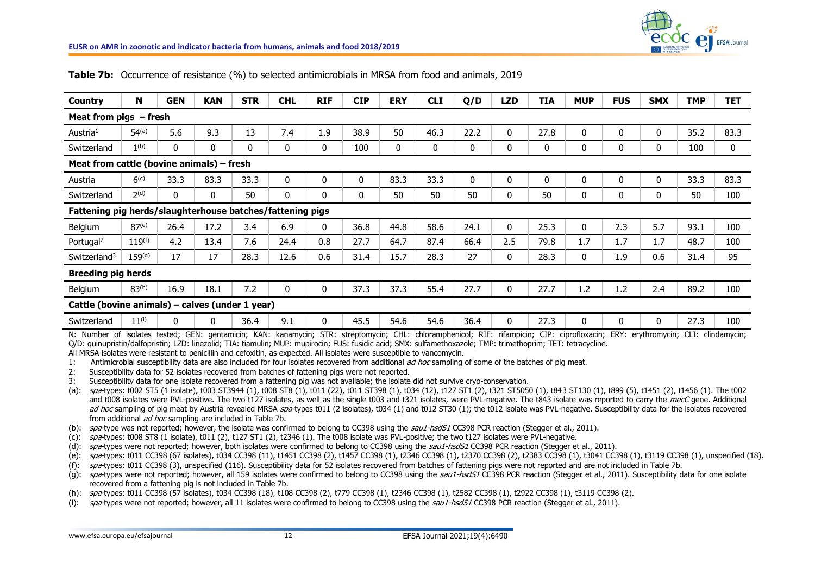

| <b>Country</b>                                                                                                                                                                                                                                                                                                                                                                                                                                                                                                                                                                        | N                 | <b>GEN</b>                                                                                                                                                | <b>KAN</b>   | <b>STR</b>                                                                                                                                                                                                                                                                                                                                                                                                                                                                                                                                                                                                                                                                                                                                                                                                                                                                                                                                                                                                                                                                                                                                                                                                                                                                                                                                                                                                                                                                                                                                                                                                                                                                                                                                                                                                                                                                                                                                                                                                                                                                                                                                                                          | <b>CHL</b>   | <b>RIF</b>   | <b>CIP</b> | <b>ERY</b> | <b>CLI</b> | Q/D  | <b>LZD</b>   | <b>TIA</b> | <b>MUP</b>   | <b>FUS</b>   | <b>SMX</b>   | <b>TMP</b> | <b>TET</b> |
|---------------------------------------------------------------------------------------------------------------------------------------------------------------------------------------------------------------------------------------------------------------------------------------------------------------------------------------------------------------------------------------------------------------------------------------------------------------------------------------------------------------------------------------------------------------------------------------|-------------------|-----------------------------------------------------------------------------------------------------------------------------------------------------------|--------------|-------------------------------------------------------------------------------------------------------------------------------------------------------------------------------------------------------------------------------------------------------------------------------------------------------------------------------------------------------------------------------------------------------------------------------------------------------------------------------------------------------------------------------------------------------------------------------------------------------------------------------------------------------------------------------------------------------------------------------------------------------------------------------------------------------------------------------------------------------------------------------------------------------------------------------------------------------------------------------------------------------------------------------------------------------------------------------------------------------------------------------------------------------------------------------------------------------------------------------------------------------------------------------------------------------------------------------------------------------------------------------------------------------------------------------------------------------------------------------------------------------------------------------------------------------------------------------------------------------------------------------------------------------------------------------------------------------------------------------------------------------------------------------------------------------------------------------------------------------------------------------------------------------------------------------------------------------------------------------------------------------------------------------------------------------------------------------------------------------------------------------------------------------------------------------------|--------------|--------------|------------|------------|------------|------|--------------|------------|--------------|--------------|--------------|------------|------------|
| Meat from pigs $-$ fresh                                                                                                                                                                                                                                                                                                                                                                                                                                                                                                                                                              |                   |                                                                                                                                                           |              |                                                                                                                                                                                                                                                                                                                                                                                                                                                                                                                                                                                                                                                                                                                                                                                                                                                                                                                                                                                                                                                                                                                                                                                                                                                                                                                                                                                                                                                                                                                                                                                                                                                                                                                                                                                                                                                                                                                                                                                                                                                                                                                                                                                     |              |              |            |            |            |      |              |            |              |              |              |            |            |
| Austria <sup>1</sup>                                                                                                                                                                                                                                                                                                                                                                                                                                                                                                                                                                  | $54^{(a)}$        | 5.6                                                                                                                                                       | 9.3          | 13                                                                                                                                                                                                                                                                                                                                                                                                                                                                                                                                                                                                                                                                                                                                                                                                                                                                                                                                                                                                                                                                                                                                                                                                                                                                                                                                                                                                                                                                                                                                                                                                                                                                                                                                                                                                                                                                                                                                                                                                                                                                                                                                                                                  | 7.4          | 1.9          | 38.9       | 50         | 46.3       | 22.2 | 0            | 27.8       | 0            | 0            | 0            | 35.2       | 83.3       |
| Switzerland                                                                                                                                                                                                                                                                                                                                                                                                                                                                                                                                                                           | 1 <sup>(b)</sup>  | 0                                                                                                                                                         | 0            | 0                                                                                                                                                                                                                                                                                                                                                                                                                                                                                                                                                                                                                                                                                                                                                                                                                                                                                                                                                                                                                                                                                                                                                                                                                                                                                                                                                                                                                                                                                                                                                                                                                                                                                                                                                                                                                                                                                                                                                                                                                                                                                                                                                                                   | 0            | 0            | 100        | 0          | 0          | 0    | 0            | 0          | $\mathbf 0$  | 0            | 0            | 100        | 0          |
| Meat from cattle (bovine animals) - fresh                                                                                                                                                                                                                                                                                                                                                                                                                                                                                                                                             |                   |                                                                                                                                                           |              |                                                                                                                                                                                                                                                                                                                                                                                                                                                                                                                                                                                                                                                                                                                                                                                                                                                                                                                                                                                                                                                                                                                                                                                                                                                                                                                                                                                                                                                                                                                                                                                                                                                                                                                                                                                                                                                                                                                                                                                                                                                                                                                                                                                     |              |              |            |            |            |      |              |            |              |              |              |            |            |
| Austria                                                                                                                                                                                                                                                                                                                                                                                                                                                                                                                                                                               | 6 <sup>(c)</sup>  | 33.3                                                                                                                                                      | 83.3         | 33.3                                                                                                                                                                                                                                                                                                                                                                                                                                                                                                                                                                                                                                                                                                                                                                                                                                                                                                                                                                                                                                                                                                                                                                                                                                                                                                                                                                                                                                                                                                                                                                                                                                                                                                                                                                                                                                                                                                                                                                                                                                                                                                                                                                                | 0            | 0            | 0          | 83.3       | 33.3       | 0    | 0            | 0          | 0            | 0            | 0            | 33.3       | 83.3       |
| Switzerland                                                                                                                                                                                                                                                                                                                                                                                                                                                                                                                                                                           | 2 <sup>(d)</sup>  | 0                                                                                                                                                         | 0            | 50                                                                                                                                                                                                                                                                                                                                                                                                                                                                                                                                                                                                                                                                                                                                                                                                                                                                                                                                                                                                                                                                                                                                                                                                                                                                                                                                                                                                                                                                                                                                                                                                                                                                                                                                                                                                                                                                                                                                                                                                                                                                                                                                                                                  | 0            | 0            | 0          | 50         | 50         | 50   | 0            | 50         | $\mathbf 0$  | $\mathbf 0$  | $\mathbf 0$  | 50         | 100        |
| Fattening pig herds/slaughterhouse batches/fattening pigs                                                                                                                                                                                                                                                                                                                                                                                                                                                                                                                             |                   |                                                                                                                                                           |              |                                                                                                                                                                                                                                                                                                                                                                                                                                                                                                                                                                                                                                                                                                                                                                                                                                                                                                                                                                                                                                                                                                                                                                                                                                                                                                                                                                                                                                                                                                                                                                                                                                                                                                                                                                                                                                                                                                                                                                                                                                                                                                                                                                                     |              |              |            |            |            |      |              |            |              |              |              |            |            |
| Belgium                                                                                                                                                                                                                                                                                                                                                                                                                                                                                                                                                                               | 87 <sup>(e)</sup> | 26.4                                                                                                                                                      | 17.2         | 3.4                                                                                                                                                                                                                                                                                                                                                                                                                                                                                                                                                                                                                                                                                                                                                                                                                                                                                                                                                                                                                                                                                                                                                                                                                                                                                                                                                                                                                                                                                                                                                                                                                                                                                                                                                                                                                                                                                                                                                                                                                                                                                                                                                                                 | 6.9          | 0            | 36.8       | 44.8       | 58.6       | 24.1 | $\mathbf 0$  | 25.3       | 0            | 2.3          | 5.7          | 93.1       | 100        |
| Portugal <sup>2</sup>                                                                                                                                                                                                                                                                                                                                                                                                                                                                                                                                                                 | $119^{(f)}$       | 4.2                                                                                                                                                       | 13.4         | 7.6                                                                                                                                                                                                                                                                                                                                                                                                                                                                                                                                                                                                                                                                                                                                                                                                                                                                                                                                                                                                                                                                                                                                                                                                                                                                                                                                                                                                                                                                                                                                                                                                                                                                                                                                                                                                                                                                                                                                                                                                                                                                                                                                                                                 | 24.4         | 0.8          | 27.7       | 64.7       | 87.4       | 66.4 | 2.5          | 79.8       | 1.7          | 1.7          | 1.7          | 48.7       | 100        |
| Switzerland <sup>3</sup>                                                                                                                                                                                                                                                                                                                                                                                                                                                                                                                                                              | $159^{(g)}$       | 17                                                                                                                                                        | 17           | 28.3                                                                                                                                                                                                                                                                                                                                                                                                                                                                                                                                                                                                                                                                                                                                                                                                                                                                                                                                                                                                                                                                                                                                                                                                                                                                                                                                                                                                                                                                                                                                                                                                                                                                                                                                                                                                                                                                                                                                                                                                                                                                                                                                                                                | 12.6         | 0.6          | 31.4       | 15.7       | 28.3       | 27   | $\mathbf{0}$ | 28.3       | $\mathbf{0}$ | 1.9          | 0.6          | 31.4       | 95         |
| <b>Breeding pig herds</b>                                                                                                                                                                                                                                                                                                                                                                                                                                                                                                                                                             |                   |                                                                                                                                                           |              |                                                                                                                                                                                                                                                                                                                                                                                                                                                                                                                                                                                                                                                                                                                                                                                                                                                                                                                                                                                                                                                                                                                                                                                                                                                                                                                                                                                                                                                                                                                                                                                                                                                                                                                                                                                                                                                                                                                                                                                                                                                                                                                                                                                     |              |              |            |            |            |      |              |            |              |              |              |            |            |
| Belgium                                                                                                                                                                                                                                                                                                                                                                                                                                                                                                                                                                               | $83^{(h)}$        | 16.9                                                                                                                                                      | 18.1         | 7.2                                                                                                                                                                                                                                                                                                                                                                                                                                                                                                                                                                                                                                                                                                                                                                                                                                                                                                                                                                                                                                                                                                                                                                                                                                                                                                                                                                                                                                                                                                                                                                                                                                                                                                                                                                                                                                                                                                                                                                                                                                                                                                                                                                                 | $\mathbf{0}$ | $\mathbf{0}$ | 37.3       | 37.3       | 55.4       | 27.7 | $\mathbf{0}$ | 27.7       | 1.2          | 1.2          | 2.4          | 89.2       | 100        |
| Cattle (bovine animals) - calves (under 1 year)                                                                                                                                                                                                                                                                                                                                                                                                                                                                                                                                       |                   |                                                                                                                                                           |              |                                                                                                                                                                                                                                                                                                                                                                                                                                                                                                                                                                                                                                                                                                                                                                                                                                                                                                                                                                                                                                                                                                                                                                                                                                                                                                                                                                                                                                                                                                                                                                                                                                                                                                                                                                                                                                                                                                                                                                                                                                                                                                                                                                                     |              |              |            |            |            |      |              |            |              |              |              |            |            |
| Switzerland                                                                                                                                                                                                                                                                                                                                                                                                                                                                                                                                                                           | $11^{(i)}$        | $\mathbf{0}$                                                                                                                                              | $\mathbf{0}$ | 36.4                                                                                                                                                                                                                                                                                                                                                                                                                                                                                                                                                                                                                                                                                                                                                                                                                                                                                                                                                                                                                                                                                                                                                                                                                                                                                                                                                                                                                                                                                                                                                                                                                                                                                                                                                                                                                                                                                                                                                                                                                                                                                                                                                                                | 9.1          | $\mathbf{0}$ | 45.5       | 54.6       | 54.6       | 36.4 | $\mathbf{0}$ | 27.3       | $\mathbf{0}$ | $\mathbf{0}$ | $\mathbf{0}$ | 27.3       | 100        |
| N: Number of isolates tested; GEN: gentamicin; KAN: kanamycin; STR: streptomycin; CHL: chloramphenicol; RIF: rifampicin; CIP: ciprofloxacin; ERY: erythromycin; CLI: clindamycin;<br>Q/D: quinupristin/dalfopristin; LZD: linezolid; TIA: tiamulin; MUP: mupirocin; FUS: fusidic acid; SMX: sulfamethoxazole; TMP: trimethoprim; TET: tetracycline.<br>All MRSA isolates were resistant to penicillin and cefoxitin, as expected. All isolates were susceptible to vancomycin.<br>1:<br>2:<br>3:<br>$(a)$ :<br>$(b)$ :<br>$(c)$ :<br>$(d)$ :<br>(e):<br>$(f)$ :<br>$(g)$ :<br>$(h)$ : |                   | spa-types: t011 CC398 (57 isolates), t034 CC398 (18), t108 CC398 (2), t779 CC398 (1), t2346 CC398 (1), t2582 CC398 (1), t2922 CC398 (1), t3119 CC398 (2). |              | Antimicrobial susceptibility data are also included for four isolates recovered from additional ad hoc sampling of some of the batches of pig meat.<br>Susceptibility data for 52 isolates recovered from batches of fattening pigs were not reported.<br>Susceptibility data for one isolate recovered from a fattening pig was not available; the isolate did not survive cryo-conservation.<br>spa-types: t002 ST5 (1 isolate), t003 ST3944 (1), t008 ST8 (1), t011 (22), t011 ST398 (1), t034 (12), t127 ST1 (2), t321 ST5050 (1), t843 ST130 (1), t899 (5), t1451 (2), t1456 (1). The t002<br>and t008 isolates were PVL-positive. The two t127 isolates, as well as the single t003 and t321 isolates, were PVL-negative. The t843 isolate was reported to carry the mecC gene. Additional<br>ad hoc sampling of pig meat by Austria revealed MRSA spa-types t011 (2 isolates), t034 (1) and t012 ST30 (1); the t012 isolate was PVL-negative. Susceptibility data for the isolates recovered<br>from additional ad hoc sampling are included in Table 7b.<br>spa-type was not reported; however, the isolate was confirmed to belong to CC398 using the sau1-hsdS1 CC398 PCR reaction (Stegger et al., 2011).<br>spa-types: t008 ST8 (1 isolate), t011 (2), t127 ST1 (2), t2346 (1). The t008 isolate was PVL-positive; the two t127 isolates were PVL-negative.<br>spa-types were not reported; however, both isolates were confirmed to belong to CC398 using the sau1-hsdS1 CC398 PCR reaction (Stegger et al., 2011).<br>spa-types: t011 CC398 (67 isolates), t034 CC398 (11), t1451 CC398 (2), t1457 CC398 (1), t2346 CC398 (1), t2370 CC398 (2), t2383 CC398 (1), t3041 CC398 (1), t3119 CC398 (1), unspecified (18).<br>spa-types: t011 CC398 (3), unspecified (116). Susceptibility data for 52 isolates recovered from batches of fattening pigs were not reported and are not included in Table 7b.<br>spa-types were not reported; however, all 159 isolates were confirmed to belong to CC398 using the sau1-hsdS1 CC398 PCR reaction (Stegger et al., 2011). Susceptibility data for one isolate<br>recovered from a fattening pig is not included in Table 7b. |              |              |            |            |            |      |              |            |              |              |              |            |            |

## **Table 7b:** Occurrence of resistance (%) to selected antimicrobials in MRSA from food and animals, 2019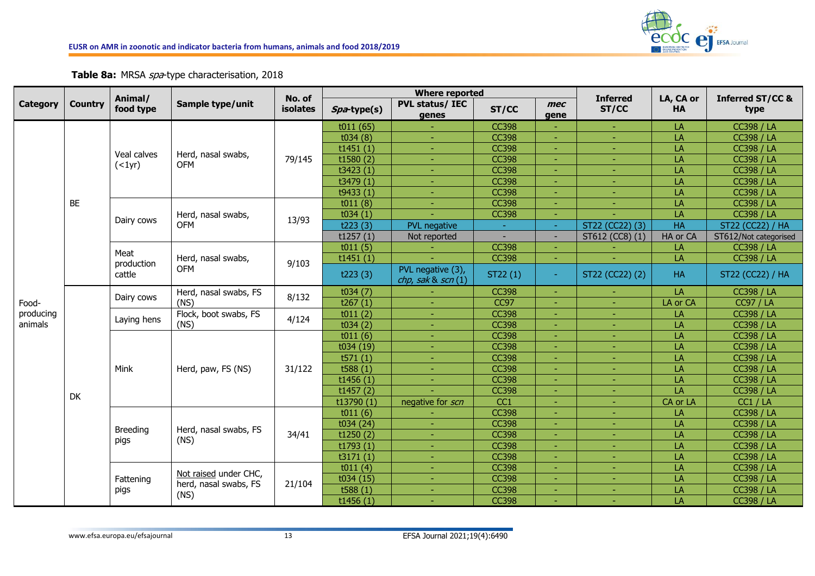

**Table 8a:** MRSA spa-type characterisation, 2018

|                 |                | Animal/                      |                                                | No. of          |             | <b>Where reported</b>                     |              |                | <b>Inferred</b> |                        |                                     |
|-----------------|----------------|------------------------------|------------------------------------------------|-----------------|-------------|-------------------------------------------|--------------|----------------|-----------------|------------------------|-------------------------------------|
| <b>Category</b> | <b>Country</b> | food type                    | Sample type/unit                               | <b>isolates</b> | Spa-type(s) | <b>PVL status/ IEC</b><br>genes           | ST/CC        | mec<br>gene    | ST/CC           | LA, CA or<br><b>HA</b> | <b>Inferred ST/CC &amp;</b><br>type |
|                 |                |                              |                                                |                 | t011(65)    |                                           | <b>CC398</b> |                |                 | LA                     | <b>CC398 / LA</b>                   |
|                 |                |                              |                                                |                 | t034(8)     |                                           | <b>CC398</b> |                |                 | LA                     | <b>CC398 / LA</b>                   |
|                 |                | Veal calves                  |                                                |                 | t1451(1)    |                                           | <b>CC398</b> |                |                 | LA                     | <b>CC398 / LA</b>                   |
|                 |                | ( <sub>1</sub> yr)           | Herd, nasal swabs,<br><b>OFM</b>               | 79/145          | t1580(2)    |                                           | <b>CC398</b> |                |                 | LA                     | <b>CC398 / LA</b>                   |
|                 |                |                              |                                                |                 | t3423(1)    |                                           | <b>CC398</b> |                |                 | LA                     | <b>CC398 / LA</b>                   |
|                 |                |                              |                                                |                 | t3479 (1)   |                                           | <b>CC398</b> |                |                 | LA                     | <b>CC398 / LA</b>                   |
|                 |                |                              |                                                |                 | t9433(1)    |                                           | <b>CC398</b> |                |                 | LA                     | <b>CC398 / LA</b>                   |
|                 | BE             |                              |                                                |                 | t011(8)     |                                           | <b>CC398</b> |                |                 | LA                     | <b>CC398 / LA</b>                   |
|                 |                | Dairy cows                   | Herd, nasal swabs,<br><b>OFM</b>               | 13/93           | t034(1)     |                                           | <b>CC398</b> |                |                 | LA                     | <b>CC398 / LA</b>                   |
|                 |                |                              |                                                |                 | t223(3)     | <b>PVL</b> negative                       | $\sim$       | ÷.             | ST22 (CC22) (3) | <b>HA</b>              | ST22 (CC22) / HA                    |
|                 |                |                              |                                                |                 | t1257(1)    | Not reported                              | ÷            | ÷.             | ST612 (CC8) (1) | HA or CA               | ST612/Not categorised               |
|                 |                |                              |                                                |                 | t011(5)     |                                           | <b>CC398</b> | ٠              |                 | LA                     | <b>CC398 / LA</b>                   |
|                 |                | Meat<br>production<br>cattle | Herd, nasal swabs,<br><b>OFM</b>               | 9/103           | t1451(1)    |                                           | <b>CC398</b> | ٠              |                 | LA                     | <b>CC398 / LA</b>                   |
|                 |                |                              |                                                |                 | t223(3)     | PVL negative (3),<br>chp, sak $\&$ scn(1) | ST22 (1)     | $\blacksquare$ | ST22 (CC22) (2) | <b>HA</b>              | ST22 (CC22) / HA                    |
|                 |                |                              | Herd, nasal swabs, FS                          | 8/132           | t034(7)     |                                           | <b>CC398</b> | ٠              | ٠               | LA                     | <b>CC398 / LA</b>                   |
| Food-           |                | Dairy cows                   | (NS)                                           |                 | t267(1)     | $\overline{\phantom{a}}$                  | <b>CC97</b>  | ٠              | ÷               | LA or CA               | <b>CC97 / LA</b>                    |
| producing       |                |                              | Flock, boot swabs, FS                          | 4/124           | t011(2)     | ÷                                         | <b>CC398</b> | ٠              | ÷               | LA                     | <b>CC398 / LA</b>                   |
| animals         |                | Laying hens                  | (NS)                                           |                 | t034(2)     |                                           | <b>CC398</b> |                |                 | LA                     | <b>CC398 / LA</b>                   |
|                 |                |                              |                                                |                 | t011(6)     |                                           | <b>CC398</b> |                |                 | LA                     | <b>CC398 / LA</b>                   |
|                 |                |                              |                                                |                 | t034 (19)   |                                           | <b>CC398</b> |                |                 | LA                     | <b>CC398 / LA</b>                   |
|                 |                |                              |                                                |                 | t571(1)     |                                           | <b>CC398</b> |                |                 | LA                     | <b>CC398 / LA</b>                   |
|                 |                | Mink                         | Herd, paw, FS (NS)                             | 31/122          | t588 $(1)$  |                                           | <b>CC398</b> |                |                 | LA                     | <b>CC398 / LA</b>                   |
|                 |                |                              |                                                |                 | t1456(1)    |                                           | <b>CC398</b> |                |                 | LA                     | <b>CC398 / LA</b>                   |
|                 | DK             |                              |                                                |                 | t1457(2)    |                                           | <b>CC398</b> |                |                 | LA                     | <b>CC398 / LA</b>                   |
|                 |                |                              |                                                |                 | t13790(1)   | negative for scn                          | CC1          |                |                 | CA or LA               | CC1 / LA                            |
|                 |                |                              |                                                |                 | t011(6)     |                                           | <b>CC398</b> |                |                 | LA                     | <b>CC398 / LA</b>                   |
|                 |                | <b>Breeding</b>              | Herd, nasal swabs, FS                          |                 | t034(24)    |                                           | <b>CC398</b> | ٠              |                 | LA                     | <b>CC398 / LA</b>                   |
|                 |                | pigs                         | (NS)                                           | 34/41           | t1250(2)    |                                           | <b>CC398</b> | ٠              |                 | LA                     | <b>CC398 / LA</b>                   |
|                 |                |                              |                                                |                 | t1793(1)    |                                           | <b>CC398</b> |                |                 | LA                     | <b>CC398 / LA</b>                   |
|                 |                |                              |                                                |                 | t3171(1)    |                                           | <b>CC398</b> |                |                 | LA                     | <b>CC398 / LA</b>                   |
|                 |                |                              |                                                |                 | t011(4)     |                                           | <b>CC398</b> |                |                 | LA                     | <b>CC398 / LA</b>                   |
|                 |                | Fattening                    | Not raised under CHC,<br>herd, nasal swabs, FS | 21/104          | t034 (15)   |                                           | <b>CC398</b> |                |                 | LA                     | <b>CC398 / LA</b>                   |
|                 |                | pigs                         |                                                |                 | t588 $(1)$  |                                           | <b>CC398</b> |                |                 | LA                     | <b>CC398 / LA</b>                   |
|                 |                |                              | (NS)                                           |                 | t1456(1)    |                                           | <b>CC398</b> |                |                 | LA                     | <b>CC398 / LA</b>                   |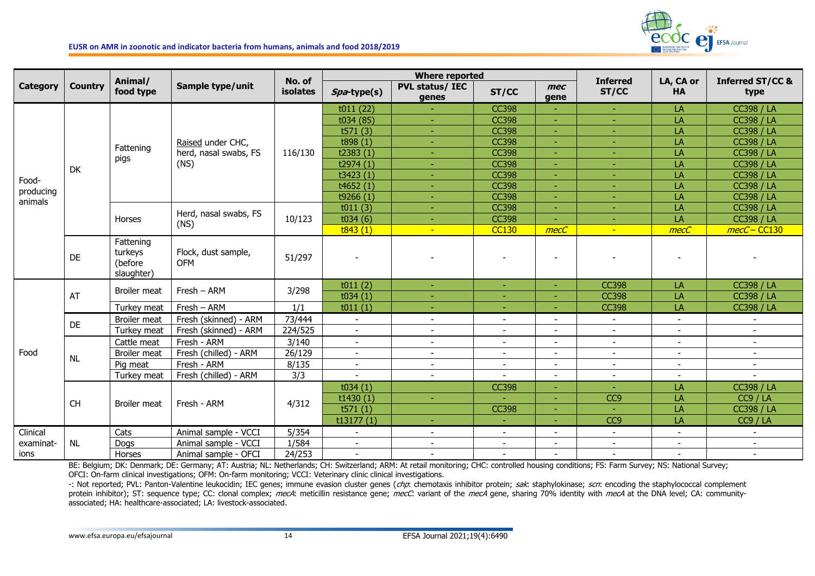

|                 |                |                                               |                                   |                    |                          | <b>Where reported</b>           |                          |                          |                          |                          |                                     |
|-----------------|----------------|-----------------------------------------------|-----------------------------------|--------------------|--------------------------|---------------------------------|--------------------------|--------------------------|--------------------------|--------------------------|-------------------------------------|
| <b>Category</b> | <b>Country</b> | Animal/<br>food type                          | Sample type/unit                  | No. of<br>isolates | Spa-type(s)              | <b>PVL status/ IEC</b><br>genes | ST/CC                    | mec<br>gene              | <b>Inferred</b><br>ST/CC | LA, CA or<br><b>HA</b>   | <b>Inferred ST/CC &amp;</b><br>type |
|                 |                |                                               |                                   |                    | t011(22)                 |                                 | <b>CC398</b>             |                          |                          | LA                       | <b>CC398 / LA</b>                   |
|                 |                |                                               |                                   |                    | t034 (85)                |                                 | <b>CC398</b>             | ٠                        |                          | LA                       | <b>CC398 / LA</b>                   |
|                 |                |                                               |                                   |                    | t571(3)                  | ٠                               | <b>CC398</b>             | ٠                        |                          | LA                       | <b>CC398 / LA</b>                   |
|                 |                | Fattening                                     | Raised under CHC,                 |                    | t898(1)                  | ٠                               | <b>CC398</b>             |                          | ٠                        | LA                       | <b>CC398 / LA</b>                   |
|                 |                |                                               | herd, nasal swabs, FS             | 116/130            | t2383(1)                 |                                 | <b>CC398</b>             |                          | ٠                        | LA                       | <b>CC398 / LA</b>                   |
|                 | DK             | pigs                                          | (NS)                              |                    | t2974(1)                 | $\overline{\phantom{a}}$        | <b>CC398</b>             | ٠                        | ٠                        | LA                       | <b>CC398 / LA</b>                   |
| Food-           |                |                                               |                                   |                    | t3423(1)                 | ÷                               | <b>CC398</b>             | ٠                        | ÷                        | LA                       | <b>CC398 / LA</b>                   |
| producing       |                |                                               |                                   |                    | t4652(1)                 | ÷                               | <b>CC398</b>             | ٠                        | ÷.                       | LA                       | <b>CC398 / LA</b>                   |
| animals         |                |                                               |                                   |                    | t9266 $(1)$              | ٠                               | <b>CC398</b>             | Ē,                       | ٠                        | LA                       | <b>CC398 / LA</b>                   |
|                 |                |                                               | Herd, nasal swabs, FS             |                    | t011(3)                  |                                 | <b>CC398</b>             | $\overline{\phantom{a}}$ | $\sim$                   | LA                       | <b>CC398 / LA</b>                   |
|                 |                | Horses                                        | (NS)                              | 10/123             | t034(6)                  |                                 | <b>CC398</b>             |                          |                          | LA                       | <b>CC398 / LA</b>                   |
|                 |                |                                               |                                   |                    | t843(1)                  | $\mathbf{u}$                    | <b>CC130</b>             | mecC                     | a.                       | mecC                     | mecC-CC130                          |
|                 | DE             | Fattening<br>turkeys<br>(before<br>slaughter) | Flock, dust sample,<br><b>OFM</b> | 51/297             |                          |                                 |                          |                          |                          |                          |                                     |
|                 |                | <b>Broiler meat</b>                           |                                   |                    | t011(2)                  | ÷                               | ÷                        | ٠                        | <b>CC398</b>             | LA                       | <b>CC398 / LA</b>                   |
|                 | AT             |                                               | $Fresh - ARM$                     | 3/298              | t034(1)                  | ÷                               | ٠                        | ٠                        | <b>CC398</b>             | LA                       | <b>CC398 / LA</b>                   |
|                 |                | Turkey meat                                   | Fresh - ARM                       | 1/1                | t011(1)                  | ٠                               |                          |                          | <b>CC398</b>             | LA                       | <b>CC398 / LA</b>                   |
|                 |                | Broiler meat                                  | Fresh (skinned) - ARM             | 73/444             | $\overline{\phantom{a}}$ | $\overline{\phantom{a}}$        |                          | $\blacksquare$           | $\blacksquare$           | $\sim$                   | $\overline{\phantom{a}}$            |
|                 | DE             | Turkey meat                                   | Fresh (skinned) - ARM             | 224/525            | $\sim$                   | $\sim$                          |                          | ÷                        | $\sim$                   | $\overline{a}$           | $\sim$                              |
|                 |                | Cattle meat                                   | Fresh - ARM                       | 3/140              | $\overline{\phantom{a}}$ | $\overline{\phantom{a}}$        |                          |                          | $\overline{\phantom{a}}$ | $\overline{\phantom{a}}$ | $\sim$                              |
| Food            |                | <b>Broiler meat</b>                           | Fresh (chilled) - ARM             | 26/129             | $\overline{\phantom{a}}$ | $\overline{\phantom{a}}$        | $\overline{\phantom{a}}$ | $\blacksquare$           | $\blacksquare$           | $\blacksquare$           | $\sim$                              |
|                 | <b>NL</b>      | Pig meat                                      | Fresh - ARM                       | 8/135              | $\sim$                   | $\sim$                          | $\overline{\phantom{a}}$ | $\overline{\phantom{a}}$ | $\blacksquare$           | $\overline{\phantom{a}}$ | $\overline{\phantom{a}}$            |
|                 |                | Turkey meat                                   | Fresh (chilled) - ARM             | 3/3                | $\overline{\phantom{a}}$ | $\sim$                          |                          | Ĭ.                       | $\sim$                   | $\overline{\phantom{a}}$ | $\overline{\phantom{a}}$            |
|                 |                |                                               |                                   |                    | t034(1)                  |                                 | <b>CC398</b>             |                          |                          | LA                       | <b>CC398 / LA</b>                   |
|                 |                |                                               |                                   |                    | t1430(1)                 |                                 |                          |                          | CC9                      | LA                       | CC9 / LA                            |
|                 | CH             | <b>Broiler meat</b>                           | Fresh - ARM                       | 4/312              | t571(1)                  |                                 | <b>CC398</b>             | ٠                        |                          | LA                       | <b>CC398 / LA</b>                   |
|                 |                |                                               |                                   |                    | t13177(1)                | ٠                               |                          |                          | CC <sub>9</sub>          | LA                       | CC9 / LA                            |
| Clinical        |                | Cats                                          | Animal sample - VCCI              | 5/354              |                          | $\blacksquare$                  |                          | ۰                        | $\overline{\phantom{a}}$ | $\blacksquare$           | $\overline{\phantom{a}}$            |
| examinat-       | <b>NL</b>      | Dogs                                          | Animal sample - VCCI              | 1/584              | $\overline{\phantom{a}}$ | $\sim$                          | $\overline{\phantom{a}}$ | $\overline{\phantom{a}}$ | $\overline{\phantom{a}}$ | $\blacksquare$           | $\sim$                              |
| ions            |                | Horses                                        | Animal sample - OFCI              | 24/253             | $\sim$                   | $\sim$                          |                          |                          | $\sim$                   | $\overline{a}$           | $\sim$                              |

BE: Belgium; DK: Denmark; DE: Germany; AT: Austria; NL: Netherlands; CH: Switzerland; ARM: At retail monitoring; CHC: controlled housing conditions; FS: Farm Survey; NS: National Survey; OFCI: On-farm clinical investigations; OFM: On-farm monitoring; VCCI: Veterinary clinic clinical investigations.

-: Not reported; PVL: Panton-Valentine leukocidin; IEC genes; immune evasion cluster genes (chp: chemotaxis inhibitor protein; sak: staphylokinase; scn: encoding the staphylococcal complement protein inhibitor); ST: sequence type; CC: clonal complex; mecA: meticillin resistance gene; mecC: variant of the mecA gene, sharing 70% identity with mecA at the DNA level; CA: communityassociated; HA: healthcare-associated; LA: livestock-associated.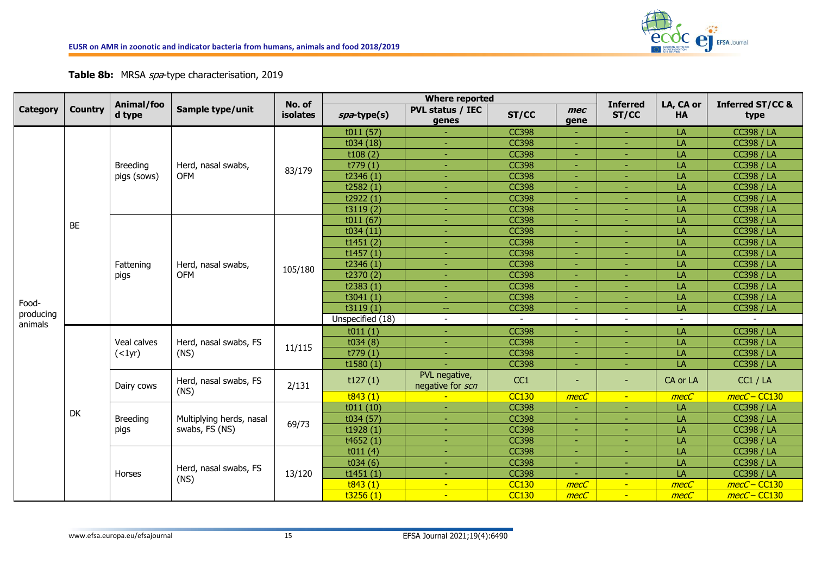

## **Table 8b:** MRSA spa-type characterisation, 2019

|                      |                |                      |                                  | No. of   |                  | <b>Where reported</b>             |              |                          |                          | LA, CA or      |                                     |
|----------------------|----------------|----------------------|----------------------------------|----------|------------------|-----------------------------------|--------------|--------------------------|--------------------------|----------------|-------------------------------------|
| <b>Category</b>      | <b>Country</b> | Animal/foo<br>d type | Sample type/unit                 | isolates | spa-type(s)      | <b>PVL status / IEC</b><br>genes  | ST/CC        | mec<br>gene              | <b>Inferred</b><br>ST/CC | <b>HA</b>      | <b>Inferred ST/CC &amp;</b><br>type |
|                      |                |                      |                                  |          | t011(57)         |                                   | <b>CC398</b> |                          | ٠                        | LA             | <b>CC398 / LA</b>                   |
|                      |                |                      |                                  |          | t034 (18)        | ٠                                 | <b>CC398</b> | ٠                        | ٠                        | LA             | <b>CC398 / LA</b>                   |
|                      |                |                      |                                  |          | t108(2)          | ٠                                 | <b>CC398</b> | ٠                        | ٠                        | LA             | <b>CC398 / LA</b>                   |
|                      |                | <b>Breeding</b>      | Herd, nasal swabs,               | 83/179   | t779(1)          | $\blacksquare$                    | <b>CC398</b> | ٠                        | ٠                        | LA             | <b>CC398 / LA</b>                   |
|                      |                | pigs (sows)          | <b>OFM</b>                       |          | t2346(1)         | ٠                                 | <b>CC398</b> | ÷                        | ٠                        | LA             | <b>CC398 / LA</b>                   |
|                      |                |                      |                                  |          | t2582 $(1)$      | $\blacksquare$                    | <b>CC398</b> | ٠                        | ٠                        | LA             | <b>CC398 / LA</b>                   |
|                      |                |                      |                                  |          | t2922 $(1)$      | $\blacksquare$                    | <b>CC398</b> | ٠                        | ٠                        | LA             | <b>CC398 / LA</b>                   |
|                      |                |                      |                                  |          | t3119(2)         | ٠                                 | <b>CC398</b> | ٠                        | ٠                        | LA             | <b>CC398 / LA</b>                   |
|                      | BE             |                      |                                  |          | t011(67)         | ٠                                 | <b>CC398</b> | ٠                        | ٠                        | LA             | <b>CC398 / LA</b>                   |
|                      |                |                      |                                  |          | t034(11)         | $\blacksquare$                    | <b>CC398</b> | ٠                        | ٠                        | LA             | <b>CC398 / LA</b>                   |
|                      |                |                      |                                  |          | t1451(2)         | ٠                                 | <b>CC398</b> | ٠                        | ٠                        | LA             | <b>CC398 / LA</b>                   |
|                      |                |                      |                                  |          | t1457(1)         | $\blacksquare$                    | <b>CC398</b> | ٠                        | ٠                        | LA             | <b>CC398 / LA</b>                   |
|                      |                | Fattening            | Herd, nasal swabs,<br><b>OFM</b> | 105/180  | t2346 $(1)$      | ٠                                 | <b>CC398</b> | ٠                        | ٠                        | LA             | <b>CC398 / LA</b>                   |
|                      |                | pigs                 |                                  |          | t2370(2)         | $\blacksquare$                    | <b>CC398</b> | ٠                        | ٠                        | LA             | <b>CC398 / LA</b>                   |
|                      |                |                      |                                  |          | t2383 $(1)$      | ٠                                 | <b>CC398</b> | ٠                        | ٠                        | LA             | <b>CC398 / LA</b>                   |
|                      |                |                      |                                  |          | t3041(1)         | ٠                                 | <b>CC398</b> | ٠                        |                          | LA             | <b>CC398 / LA</b>                   |
| Food-                |                |                      |                                  |          | t3119(1)         | ÷                                 | <b>CC398</b> | $\blacksquare$           | ٠                        | LA             | <b>CC398 / LA</b>                   |
| producing<br>animals |                |                      |                                  |          | Unspecified (18) | $\overline{\phantom{a}}$          | $\sim$       | $\overline{\phantom{a}}$ | $\overline{a}$           | $\blacksquare$ |                                     |
|                      |                |                      |                                  |          | t011(1)          | ÷.                                | <b>CC398</b> |                          |                          | LA             | <b>CC398 / LA</b>                   |
|                      |                | Veal calves          | Herd, nasal swabs, FS            |          | t034(8)          | ٠                                 | <b>CC398</b> |                          |                          | LA             | <b>CC398 / LA</b>                   |
|                      |                | ( <sub>1</sub> yr)   | (NS)                             | 11/115   | t779(1)          |                                   | <b>CC398</b> | ٠                        |                          | LA             | <b>CC398 / LA</b>                   |
|                      |                |                      |                                  |          | t1580(1)         |                                   | <b>CC398</b> | ÷.                       | ÷                        | LA             | <b>CC398 / LA</b>                   |
|                      |                | Dairy cows           | Herd, nasal swabs, FS            | 2/131    | t127(1)          | PVL negative,<br>negative for scn | CC1          | ٠                        | ٠                        | CA or LA       | CC1 / LA                            |
|                      |                |                      | (NS)                             |          | t843(1)          |                                   | <b>CC130</b> | mecC                     | $\blacksquare$           | mecC           | mecC-CC130                          |
|                      | <b>DK</b>      |                      |                                  |          | t011(10)         | u,                                | <b>CC398</b> |                          |                          | LA             | <b>CC398 / LA</b>                   |
|                      |                | <b>Breeding</b>      | Multiplying herds, nasal         | 69/73    | t034(57)         | ٠                                 | <b>CC398</b> | ٠                        |                          | LA             | <b>CC398 / LA</b>                   |
|                      |                | pigs                 | swabs, FS (NS)                   |          | t1928(1)         |                                   | <b>CC398</b> | ٠                        |                          | LA             | <b>CC398 / LA</b>                   |
|                      |                |                      |                                  |          | t4652(1)         |                                   | <b>CC398</b> |                          |                          | LA             | <b>CC398 / LA</b>                   |
|                      |                |                      |                                  |          | t011(4)          |                                   | <b>CC398</b> |                          |                          | LA             | <b>CC398 / LA</b>                   |
|                      |                |                      |                                  |          | t034(6)          |                                   | <b>CC398</b> | ٠                        |                          | LA             | <b>CC398 / LA</b>                   |
|                      |                | Horses               | Herd, nasal swabs, FS            | 13/120   | t1451(1)         |                                   | <b>CC398</b> | ٠                        |                          | LA             | <b>CC398 / LA</b>                   |
|                      |                |                      | (NS)                             |          | t843(1)          | ÷                                 | <b>CC130</b> | mecC                     | $\blacksquare$           | mecC           | mecC-CC130                          |
|                      |                |                      |                                  |          | t3256(1)         | $\sim$                            | <b>CC130</b> | mecC                     | $\sim$                   | mecC           | mecC-CC130                          |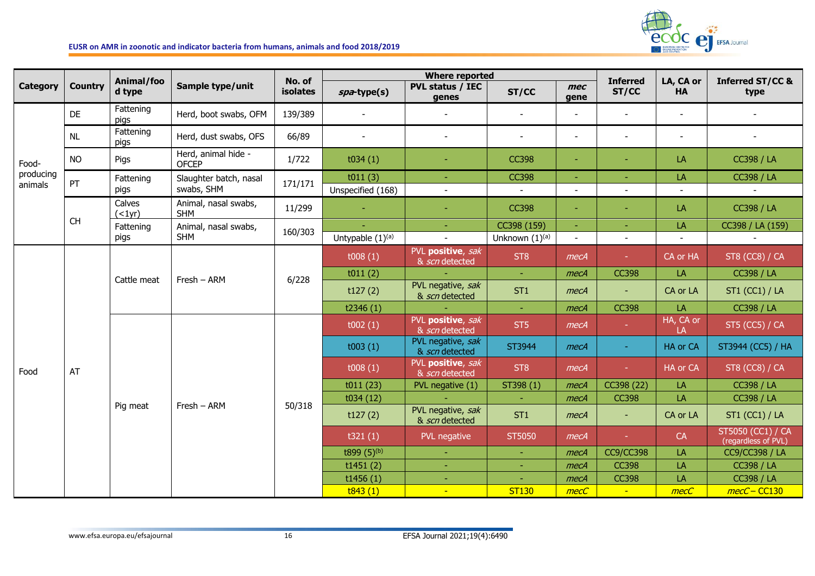

|                      |                                                      | Animal/foo                   |                                      | No. of   |                              | <b>Where reported</b>               |                        |                | <b>Inferred</b>          | LA, CA or                | <b>Inferred ST/CC &amp;</b>              |
|----------------------|------------------------------------------------------|------------------------------|--------------------------------------|----------|------------------------------|-------------------------------------|------------------------|----------------|--------------------------|--------------------------|------------------------------------------|
| <b>Category</b>      | <b>Country</b>                                       | d type                       | Sample type/unit                     | isolates | spa-type(s)                  | <b>PVL status / IEC</b><br>genes    | ST/CC                  | mec<br>qene    | ST/CC                    | <b>HA</b>                | type                                     |
|                      | DE                                                   | Fattening<br>pigs            | Herd, boot swabs, OFM                | 139/389  |                              |                                     |                        |                |                          |                          |                                          |
|                      | <b>NL</b>                                            | Fattening<br>pigs            | Herd, dust swabs, OFS                | 66/89    |                              | $\blacksquare$                      |                        | $\blacksquare$ |                          | $\overline{\phantom{a}}$ | $\overline{\phantom{a}}$                 |
| Food-                | <b>NO</b>                                            | Pigs                         | Herd, animal hide -<br><b>OFCEP</b>  | 1/722    | t034(1)                      | $\blacksquare$                      | <b>CC398</b>           | ٠              |                          | LA                       | <b>CC398 / LA</b>                        |
| producing<br>animals | PT                                                   | Fattening<br>pigs            | Slaughter batch, nasal<br>swabs, SHM | 171/171  | t011(3)<br>Unspecified (168) | $\blacksquare$                      | <b>CC398</b><br>$\sim$ | $\overline{a}$ | $\overline{\phantom{a}}$ | LA<br>$\blacksquare$     | <b>CC398 / LA</b><br>$\sim$              |
|                      |                                                      | Calves<br>( <sub>1</sub> yr) | Animal, nasal swabs,<br><b>SHM</b>   | 11/299   | $\sim$                       | $\omega$                            | <b>CC398</b>           | ÷.             | $\sim$                   | LA                       | <b>CC398 / LA</b>                        |
|                      | $\mathsf{CH}% _{\mathbb{C}}\left( \mathbb{C}\right)$ | Fattening                    | Animal, nasal swabs,                 | 160/303  |                              | $\sim$                              | CC398 (159)            | $\omega$       | $\omega$                 | LA                       | CC398 / LA (159)                         |
|                      |                                                      | pigs                         | <b>SHM</b>                           |          | Untypable $(1)^{(a)}$        | $\mathbb{Z}^2$                      | Unknown (1)(a)         | $\blacksquare$ | $\blacksquare$           | $\overline{a}$           |                                          |
|                      |                                                      | Cattle meat                  | Fresh - ARM                          | 6/228    | t008(1)                      | PVL positive, sak<br>& scn detected | ST <sub>8</sub>        | mecA           | $\omega_{\rm c}$         | CA or HA                 | ST8 (CC8) / CA                           |
|                      |                                                      |                              |                                      |          | t011(2)                      |                                     | $\omega$ .             | mecA           | <b>CC398</b>             | LA                       | <b>CC398 / LA</b>                        |
|                      |                                                      |                              |                                      |          | t127(2)                      | PVL negative, sak<br>& scn detected | ST <sub>1</sub>        | mecA           | $\blacksquare$           | CA or LA                 | <b>ST1 (CC1) / LA</b>                    |
|                      |                                                      |                              |                                      |          | t2346 $(1)$                  |                                     | $\omega_{\rm c}$       | mecA           | <b>CC398</b>             | LA                       | <b>CC398 / LA</b>                        |
|                      |                                                      |                              |                                      |          | t002(1)                      | PVL positive, sak<br>& scn detected | ST5                    | mecA           | $\sim$                   | HA, CA or<br>LA          | <b>ST5 (CC5) / CA</b>                    |
|                      |                                                      |                              |                                      |          | t003(1)                      | PVL negative, sak<br>& scn detected | ST3944                 | mecA           | $\sim$                   | HA or CA                 | ST3944 (CC5) / HA                        |
| Food                 | AT                                                   |                              |                                      |          | t008(1)                      | PVL positive, sak<br>& scn detected | ST <sub>8</sub>        | mecA           | $\sim$                   | HA or CA                 | <b>ST8 (CC8) / CA</b>                    |
|                      |                                                      |                              |                                      |          | t011(23)                     | PVL negative (1)                    | ST398 (1)              | mecA           | CC398 (22)               | LA                       | <b>CC398 / LA</b>                        |
|                      |                                                      |                              | Fresh - ARM                          |          | t034(12)                     |                                     | $\sim$                 | mecA           | <b>CC398</b>             | LA                       | <b>CC398 / LA</b>                        |
|                      |                                                      | Pig meat                     |                                      | 50/318   | t127(2)                      | PVL negative, sak<br>& scn detected | ST <sub>1</sub>        | mecA           | $\sim$                   | CA or LA                 | <b>ST1 (CC1) / LA</b>                    |
|                      |                                                      |                              |                                      |          | t321(1)                      | PVL negative                        | ST5050                 | mecA           | ч.                       | CA                       | ST5050 (CC1) / CA<br>(regardless of PVL) |
|                      |                                                      |                              |                                      |          | t899 $(5)^{(b)}$             | $\omega$                            |                        | mecA           | <b>CC9/CC398</b>         | LA                       | <b>CC9/CC398 / LA</b>                    |
|                      |                                                      |                              |                                      |          | t1451(2)                     | $\sim$                              | $\sim$                 | mecA           | <b>CC398</b>             | LA                       | <b>CC398 / LA</b>                        |
|                      |                                                      |                              |                                      |          | t1456(1)                     | ÷                                   |                        | mecA           | <b>CC398</b>             | LA                       | <b>CC398 / LA</b>                        |
|                      |                                                      |                              |                                      |          | t843(1)                      | $\blacksquare$                      | <b>ST130</b>           | mecC           | $\sim$                   | mecC                     | mecC-CC130                               |